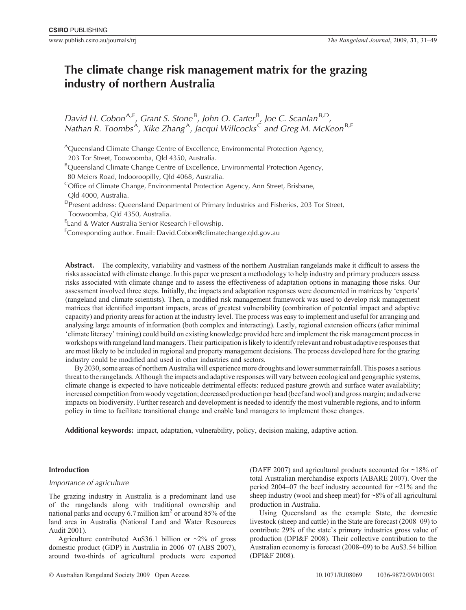# **The climate change risk management matrix for the grazing industry of northern Australia**

David H. Cobon<sup>A,F</sup>, Grant S. Stone<sup>B</sup>, John O. Carter<sup>B</sup>, Joe C. Scanlan<sup>B,D</sup>, *Nathan R. Toombs<sup>A</sup>, Xike Zhang<sup>A</sup>, Jacqui Willcocks<sup>C</sup> and Greg M. McKeon<sup>B,E</sup>* 

<sup>A</sup>Queensland Climate Change Centre of Excellence, Environmental Protection Agency, 203 Tor Street, Toowoomba, Qld 4350, Australia.

<sup>B</sup>Queensland Climate Change Centre of Excellence, Environmental Protection Agency, 80 Meiers Road, Indooroopilly, Qld 4068, Australia.

<sup>C</sup>Office of Climate Change, Environmental Protection Agency, Ann Street, Brisbane, Qld 4000, Australia.

DPresent address: Queensland Department of Primary Industries and Fisheries, 203 Tor Street, Toowoomba, Qld 4350, Australia.

E Land & Water Australia Senior Research Fellowship.

F Corresponding author. Email: David.Cobon@climatechange.qld.gov.au

**Abstract.** The complexity, variability and vastness of the northern Australian rangelands make it difficult to assess the risks associated with climate change. In this paper we present a methodology to help industry and primary producers assess risks associated with climate change and to assess the effectiveness of adaptation options in managing those risks. Our assessment involved three steps. Initially, the impacts and adaptation responses were documented in matrices by 'experts' (rangeland and climate scientists). Then, a modified risk management framework was used to develop risk management matrices that identified important impacts, areas of greatest vulnerability (combination of potential impact and adaptive capacity) and priority areas for action at the industry level. The process was easy to implement and useful for arranging and analysing large amounts of information (both complex and interacting). Lastly, regional extension officers (after minimal 'climate literacy' training) could build on existing knowledge provided here and implement the risk management process in workshops with rangeland land managers. Their participation is likely to identify relevant and robust adaptive responses that are most likely to be included in regional and property management decisions. The process developed here for the grazing industry could be modified and used in other industries and sectors.

By 2030, some areas of northern Australia will experience more droughts and lower summer rainfall. This poses a serious threat to the rangelands. Although the impacts and adaptive responses will vary between ecological and geographic systems, climate change is expected to have noticeable detrimental effects: reduced pasture growth and surface water availability; increased competition from woody vegetation; decreased production per head (beef and wool) and gross margin; and adverse impacts on biodiversity. Further research and development is needed to identify the most vulnerable regions, and to inform policy in time to facilitate transitional change and enable land managers to implement those changes.

**Additional keywords:** impact, adaptation, vulnerability, policy, decision making, adaptive action.

## **Introduction**

## *Importance of agriculture*

The grazing industry in Australia is a predominant land use of the rangelands along with traditional ownership and national parks and occupy 6.7 million  $km<sup>2</sup>$  or around 85% of the land area in Australia (National Land and Water Resources Audit 2001).

Agriculture contributed Au\$36.1 billion or ~2% of gross domestic product (GDP) in Australia in 2006–07 ([ABS 2007](#page-13-0)), around two-thirds of agricultural products were exported

[\(DAFF 2007](#page-14-0)) and agricultural products accounted for  $\sim$ 18% of total Australian merchandise exports ([ABARE 2007](#page-13-0)). Over the period 2004–07 the beef industry accounted for ~21% and the sheep industry (wool and sheep meat) for ~8% of all agricultural production in Australia.

Using Queensland as the example State, the domestic livestock (sheep and cattle) in the State are forecast (2008–09) to contribute 29% of the state's primary industries gross value of production (DPI&F 2008). Their collective contribution to the Australian economy is forecast (2008–09) to be Au\$3.54 billion (DPI&F 2008).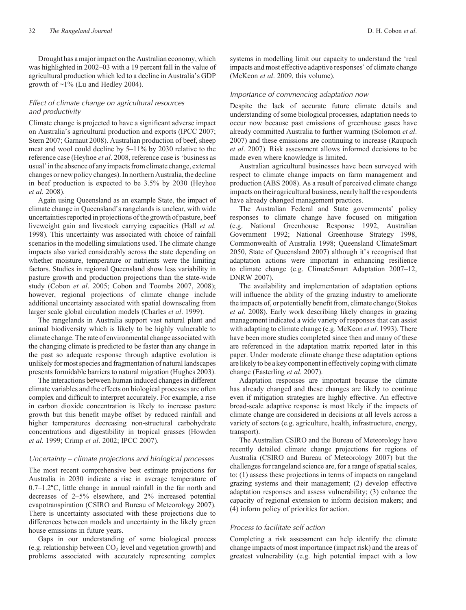Drought has a major impact on the Australian economy, which was highlighted in 2002–03 with a 19 percent fall in the value of agricultural production which led to a decline in Australia's GDP growth of  $\sim$ 1% ([Lu and Hedley 2004\)](#page-14-0).

## *Effect of climate change on agricultural resources and productivity*

Climate change is projected to have a significant adverse impact on Australia's agricultural production and exports ([IPCC 2007](#page-14-0); [Stern 2007](#page-15-0); [Garnaut 2008](#page-14-0)). Australian production of beef, sheep meat and wool could decline by 5–11% by 2030 relative to the reference case [\(Heyhoe](#page-14-0) *et al*. 2008, reference case is 'business as usual'inthe absence of anyimpacts from climate change, external changes or new policy changes). In northern Australia, the decline in beef production is expected to be 3.5% by 2030 ([Heyhoe](#page-14-0) *et al*[. 2008](#page-14-0)).

Again using Queensland as an example State, the impact of climate change in Queensland's rangelands is unclear, with wide uncertainties reported in projections of the growth of pasture, beef liveweight gain and livestock carrying capacities (Hall *[et al](#page-14-0)*. [1998\)](#page-14-0). This uncertainty was associated with choice of rainfall scenarios in the modelling simulations used. The climate change impacts also varied considerably across the state depending on whether moisture, temperature or nutrients were the limiting factors. Studies in regional Queensland show less variability in pasture growth and production projections than the state-wide study [\(Cobon](#page-14-0) *et al*. 2005; [Cobon and Toombs 2007, 2008](#page-14-0)); however, regional projections of climate change include additional uncertainty associated with spatial downscaling from larger scale global circulation models ([Charles](#page-14-0) *et al*. 1999).

The rangelands in Australia support vast natural plant and animal biodiversity which is likely to be highly vulnerable to climate change. The rate of environmental change associated with the changing climate is predicted to be faster than any change in the past so adequate response through adaptive evolution is unlikely for most species and fragmentation of natural landscapes presents formidable barriers to natural migration ([Hughes 2003](#page-14-0)).

The interactions between human induced changes in different climate variables and the effects on biological processes are often complex and difficult to interpret accurately. For example, a rise in carbon dioxide concentration is likely to increase pasture growth but this benefit maybe offset by reduced rainfall and higher temperatures decreasing non-structural carbohydrate concentrations and digestibility in tropical grasses ([Howden](#page-14-0) *et al*[. 1999](#page-14-0); Crimp *et al*[. 2002; IPCC 2007](#page-14-0)).

#### *Uncertainty – climate projections and biological processes*

The most recent comprehensive best estimate projections for Australia in 2030 indicate a rise in average temperature of  $0.7-1.2$ °C, little change in annual rainfall in the far north and decreases of 2–5% elsewhere, and 2% increased potential evapotranspiration [\(CSIRO and Bureau of Meteorology 2007](#page-14-0)). There is uncertainty associated with these projections due to differences between models and uncertainty in the likely green house emissions in future years.

Gaps in our understanding of some biological process (e.g. relationship between  $CO<sub>2</sub>$  level and vegetation growth) and problems associated with accurately representing complex systems in modelling limit our capacity to understand the 'real impacts and most effective adaptive responses' of climate change ([McKeon](#page-15-0) *et al*. 2009, this volume).

## *Importance of commencing adaptation now*

Despite the lack of accurate future climate details and understanding of some biological processes, adaptation needs to occur now because past emissions of greenhouse gases have already committed Australia to further warming [\(Solomon](#page-15-0) *et al*. [2007\)](#page-15-0) and these emissions are continuing to increase ([Raupach](#page-15-0) *et al*[. 2007\)](#page-15-0). Risk assessment allows informed decisions to be made even where knowledge is limited.

Australian agricultural businesses have been surveyed with respect to climate change impacts on farm management and production ([ABS 2008](#page-13-0)). As a result of perceived climate change impacts on their agricultural business, nearly half the respondents have already changed management practices.

The Australian Federal and State governments' policy responses to climate change have focused on mitigation (e.g. National Greenhouse Response 1992, [Australian](#page-14-0) [Government 1992;](#page-14-0) National Greenhouse Strategy 1998, [Commonwealth of Australia 1998](#page-14-0); Queensland ClimateSmart 2050, [State of Queensland 2007\)](#page-15-0) although it's recognised that adaptation actions were important in enhancing resilience to climate change (e.g. ClimateSmart Adaptation 2007–12, DNRW 2007).

The availability and implementation of adaptation options will influence the ability of the grazing industry to ameliorate the impacts of, or potentially benefit from, climate change ([Stokes](#page-15-0) *et al*[. 2008](#page-15-0)). Early work describing likely changes in grazing management indicated a wide variety of responses that can assist with adapting to climate change (e.g. [McKeon](#page-15-0) *et al*. 1993). There have been more studies completed since then and many of these are referenced in the adaptation matrix reported later in this paper. Under moderate climate change these adaptation options are likely to be a key componentin effectively coping with climate change [\(Easterling](#page-14-0) *et al*. 2007).

Adaptation responses are important because the climate has already changed and these changes are likely to continue even if mitigation strategies are highly effective. An effective broad-scale adaptive response is most likely if the impacts of climate change are considered in decisions at all levels across a variety of sectors (e.g. agriculture, health, infrastructure, energy, transport).

The Australian CSIRO and the Bureau of Meteorology have recently detailed climate change projections for regions of Australia ([CSIRO and Bureau of Meteorology 2007](#page-14-0)) but the challenges for rangeland science are, for a range of spatial scales, to: (1) assess these projections in terms of impacts on rangeland grazing systems and their management; (2) develop effective adaptation responses and assess vulnerability; (3) enhance the capacity of regional extension to inform decision makers; and (4) inform policy of priorities for action.

## *Process to facilitate self action*

Completing a risk assessment can help identify the climate change impacts of most importance (impact risk) and the areas of greatest vulnerability (e.g. high potential impact with a low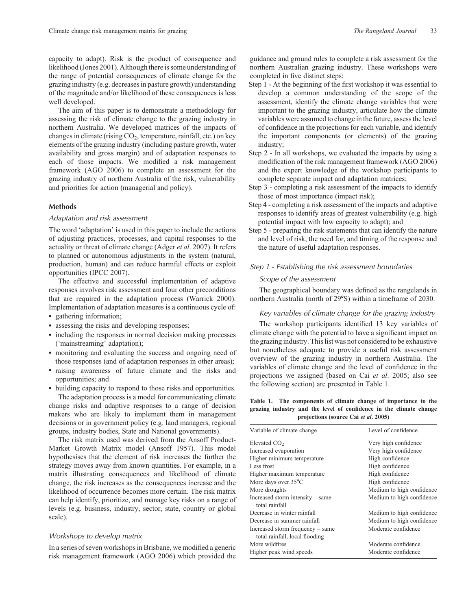<span id="page-2-0"></span>capacity to adapt). Risk is the product of consequence and likelihood ([Jones 2001](#page-14-0)). Although there is some understanding of the range of potential consequences of climate change for the grazing industry (e.g. decreases in pasture growth) understanding of the magnitude and/or likelihood of these consequences is less well developed.

The aim of this paper is to demonstrate a methodology for assessing the risk of climate change to the grazing industry in northern Australia. We developed matrices of the impacts of changes in climate (rising  $CO<sub>2</sub>$ , temperature, rainfall, etc.) on key elements of the grazing industry (including pasture growth, water availability and gross margin) and of adaptation responses to each of those impacts. We modified a risk management framework (AGO 2006) to complete an assessment for the grazing industry of northern Australia of the risk, vulnerability and priorities for action (managerial and policy).

## **Methods**

## *Adaptation and risk assessment*

The word 'adaptation' is used in this paper to include the actions of adjusting practices, processes, and capital responses to the actuality or threat of climate change [\(Adger](#page-13-0) *et al*. 2007). It refers to planned or autonomous adjustments in the system (natural, production, human) and can reduce harmful effects or exploit opportunities ([IPCC 2007\)](#page-14-0).

The effective and successful implementation of adaptive responses involves risk assessment and four other preconditions that are required in the adaptation process ([Warrick 2000](#page-15-0)). Implementation of adaptation measures is a continuous cycle of:

- gathering information;
- assessing the risks and developing responses;
- including the responses in normal decision making processes ('mainstreaming' adaptation);
- \* monitoring and evaluating the success and ongoing need of those responses (and of adaptation responses in other areas);
- raising awareness of future climate and the risks and opportunities; and
- \* building capacity to respond to those risks and opportunities.

The adaptation process is a model for communicating climate change risks and adaptive responses to a range of decision makers who are likely to implement them in management decisions or in government policy (e.g. land managers, regional groups, industry bodies, State and National governments).

The risk matrix used was derived from the Ansoff Product-Market Growth Matrix model [\(Ansoff 1957](#page-14-0)). This model hypothesises that the element of risk increases the further the strategy moves away from known quantities. For example, in a matrix illustrating consequences and likelihood of climate change, the risk increases as the consequences increase and the likelihood of occurrence becomes more certain. The risk matrix can help identify, prioritize, and manage key risks on a range of levels (e.g. business, industry, sector, state, country or global scale).

# *Workshops to develop matrix*

In a series of seven workshops in Brisbane, we modified a generic risk management framework (AGO 2006) which provided the guidance and ground rules to complete a risk assessment for the northern Australian grazing industry. These workshops were completed in five distinct steps:

- Step 1 At the beginning of the first workshop it was essential to develop a common understanding of the scope of the assessment, identify the climate change variables that were important to the grazing industry, articulate how the climate variables were assumed to change in the future, assess the level of confidence in the projections for each variable, and identify the important components (or elements) of the grazing industry;
- Step 2 In all workshops, we evaluated the impacts by using a modification of the risk management framework (AGO 2006) and the expert knowledge of the workshop participants to complete separate impact and adaptation matrices;
- Step 3 completing a risk assessment of the impacts to identify those of most importance (impact risk);
- Step 4 completing a risk assessment of the impacts and adaptive responses to identify areas of greatest vulnerability (e.g. high potential impact with low capacity to adapt); and
- Step 5 preparing the risk statements that can identify the nature and level of risk, the need for, and timing of the response and the nature of useful adaptation responses.

## *Step 1 - Establishing the risk assessment boundaries*

## *Scope of the assessment*

The geographical boundary was defined as the rangelands in northern Australia (north of 29°S) within a timeframe of 2030.

## *Key variables of climate change for the grazing industry*

The workshop participants identified 13 key variables of climate change with the potential to have a significant impact on the grazing industry. This list was not considered to be exhaustive but nonetheless adequate to provide a useful risk assessment overview of the grazing industry in northern Australia. The variables of climate change and the level of confidence in the projections we assigned (based on Cai *et al*[. 2005](#page-14-0); also see the following section) are presented in Table 1.

**Table 1. The components of climate change of importance to the grazing industry and the level of confidence in the climate change projections (source Cai** *et al***[. 2005\)](#page-14-0)**

| Variable of climate change                                           | Level of confidence       |
|----------------------------------------------------------------------|---------------------------|
| Elevated CO <sub>2</sub>                                             | Very high confidence      |
| Increased evaporation                                                | Very high confidence      |
| Higher minimum temperature                                           | High confidence           |
| Less frost                                                           | High confidence           |
| Higher maximum temperature                                           | High confidence           |
| More days over 35°C                                                  | High confidence           |
| More droughts                                                        | Medium to high confidence |
| Increased storm intensity – same<br>total rainfall                   | Medium to high confidence |
| Decrease in winter rainfall                                          | Medium to high confidence |
| Decrease in summer rainfall                                          | Medium to high confidence |
| Increased storm frequency $-$ same<br>total rainfall, local flooding | Moderate confidence       |
| More wildfires                                                       | Moderate confidence       |
| Higher peak wind speeds                                              | Moderate confidence       |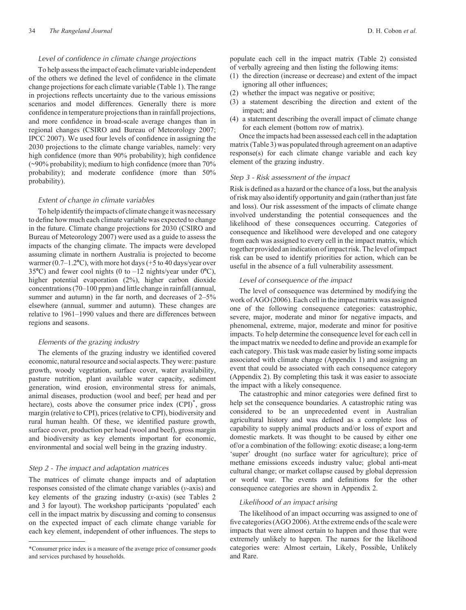## *Level of confidence in climate change projections*

To help assess the impact of each climate variable independent of the others we defined the level of confidence in the climate change projections for each climate variable ([Table 1\)](#page-2-0). The range in projections reflects uncertainty due to the various emissions scenarios and model differences. Generally there is more confidence in temperature projections than in rainfall projections, and more confidence in broad-scale average changes than in regional changes ([CSIRO and Bureau of Meteorology 2007](#page-14-0); [IPCC 2007\)](#page-14-0). We used four levels of confidence in assigning the 2030 projections to the climate change variables, namely: very high confidence (more than 90% probability); high confidence (~90% probability); medium to high confidence (more than 70% probability); and moderate confidence (more than 50% probability).

## *Extent of change in climate variables*

To help identify the impacts of climate change it was necessary to define how much each climate variable was expected to change in the future. Climate change projections for 2030 ([CSIRO and](#page-14-0) [Bureau of Meteorology 2007\)](#page-14-0) were used as a guide to assess the impacts of the changing climate. The impacts were developed assuming climate in northern Australia is projected to become warmer (0.7–1.2 $^{\circ}$ C), with more hot days (+5 to 40 days/year over 35 $^{\circ}$ C) and fewer cool nights (0 to –12 nights/year under 0 $^{\circ}$ C), higher potential evaporation (2%), higher carbon dioxide concentrations (70–100 ppm) and little change in rainfall (annual, summer and autumn) in the far north, and decreases of  $2-5%$ elsewhere (annual, summer and autumn). These changes are relative to 1961–1990 values and there are differences between regions and seasons.

#### *Elements of the grazing industry*

The elements of the grazing industry we identified covered economic, natural resource and social aspects. They were: pasture growth, woody vegetation, surface cover, water availability, pasture nutrition, plant available water capacity, sediment generation, wind erosion, environmental stress for animals, animal diseases, production (wool and beef; per head and per hectare), costs above the consumer price index (CPI)<sup>\*</sup>, gross margin (relative to CPI), prices (relative to CPI), biodiversity and rural human health. Of these, we identified pasture growth, surface cover, production per head (wool and beef), gross margin and biodiversity as key elements important for economic, environmental and social well being in the grazing industry.

## *Step 2 - The impact and adaptation matrices*

The matrices of climate change impacts and of adaptation responses consisted of the climate change variables (*y*-axis) and key elements of the grazing industry (*x*-axis) (see [Tables 2](#page-5-0) and [3](#page-7-0) for layout). The workshop participants 'populated' each cell in the impact matrix by discussing and coming to consensus on the expected impact of each climate change variable for each key element, independent of other influences. The steps to

populate each cell in the impact matrix ([Table 2](#page-5-0)) consisted of verbally agreeing and then listing the following items:

- (1) the direction (increase or decrease) and extent of the impact ignoring all other influences;
- (2) whether the impact was negative or positive;
- (3) a statement describing the direction and extent of the impact; and
- (4) a statement describing the overall impact of climate change for each element (bottom row of matrix).

Once the impacts had been assessed each cell in the adaptation matrix ([Table 3](#page-7-0)) was populated through agreement on an adaptive response(s) for each climate change variable and each key element of the grazing industry.

## *Step 3 - Risk assessment of the impact*

Risk is defined as a hazard or the chance of a loss, but the analysis of risk may also identify opportunity and gain (rather than just fate and loss). Our risk assessment of the impacts of climate change involved understanding the potential consequences and the likelihood of these consequences occurring. Categories of consequence and likelihood were developed and one category from each was assigned to every cell in the impact matrix, which together provided an indication of impact risk. The level of impact risk can be used to identify priorities for action, which can be useful in the absence of a full vulnerability assessment.

#### *Level of consequence of the impact*

The level of consequence was determined by modifying the work of AGO (2006). Each cell in the impact matrix was assigned one of the following consequence categories: catastrophic, severe, major, moderate and minor for negative impacts, and phenomenal, extreme, major, moderate and minor for positive impacts. To help determine the consequence level for each cell in the impact matrix we needed to define and provide an example for each category. This task was made easier by listing some impacts associated with climate change (Appendix 1) and assigning an event that could be associated with each consequence category (Appendix 2). By completing this task it was easier to associate the impact with a likely consequence.

The catastrophic and minor categories were defined first to help set the consequence boundaries. A catastrophic rating was considered to be an unprecedented event in Australian agricultural history and was defined as a complete loss of capability to supply animal products and/or loss of export and domestic markets. It was thought to be caused by either one of/or a combination of the following: exotic disease; a long-term 'super' drought (no surface water for agriculture); price of methane emissions exceeds industry value; global anti-meat cultural change; or market collapse caused by global depression or world war. The events and definitions for the other consequence categories are shown in Appendix 2.

## *Likelihood of an impact arising*

The likelihood of an impact occurring was assigned to one of five categories (AGO 2006). At the extreme ends of the scale were impacts that were almost certain to happen and those that were extremely unlikely to happen. The names for the likelihood categories were: Almost certain, Likely, Possible, Unlikely and Rare.

<sup>\*</sup>Consumer price index is a measure of the average price of consumer goods and services purchased by households.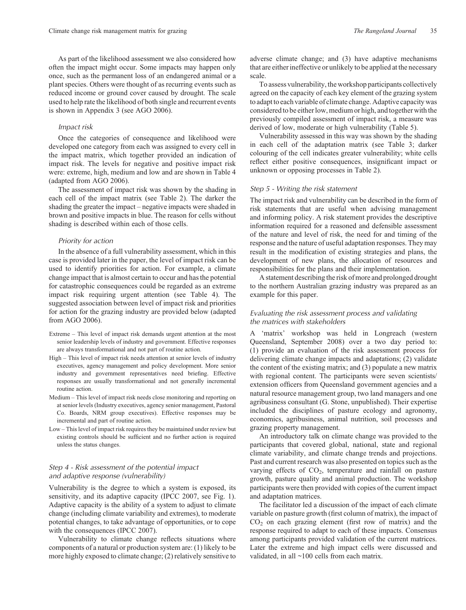As part of the likelihood assessment we also considered how often the impact might occur. Some impacts may happen only once, such as the permanent loss of an endangered animal or a plant species. Others were thought of as recurring events such as reduced income or ground cover caused by drought. The scale used to help rate the likelihood of both single and recurrent events is shown in Appendix 3 (see AGO 2006).

#### *Impact risk*

Once the categories of consequence and likelihood were developed one category from each was assigned to every cell in the impact matrix, which together provided an indication of impact risk. The levels for negative and positive impact risk were: extreme, high, medium and low and are shown in [Table 4](#page-9-0) (adapted from AGO 2006).

The assessment of impact risk was shown by the shading in each cell of the impact matrix (see [Table 2](#page-5-0)). The darker the shading the greater the impact – negative impacts were shaded in brown and positive impacts in blue. The reason for cells without shading is described within each of those cells.

## *Priority for action*

In the absence of a full vulnerability assessment, which in this case is provided later in the paper, the level of impact risk can be used to identify priorities for action. For example, a climate change impact that is almost certain to occur and has the potential for catastrophic consequences could be regarded as an extreme impact risk requiring urgent attention (see [Table 4](#page-9-0)). The suggested association between level of impact risk and priorities for action for the grazing industry are provided below (adapted from AGO 2006).

- Extreme This level of impact risk demands urgent attention at the most senior leadership levels of industry and government. Effective responses are always transformational and not part of routine action.
- High This level of impact risk needs attention at senior levels of industry executives, agency management and policy development. More senior industry and government representatives need briefing. Effective responses are usually transformational and not generally incremental routine action.
- Medium This level of impact risk needs close monitoring and reporting on at senior levels (Industry executives, agency senior management, Pastoral Co. Boards, NRM group executives). Effective responses may be incremental and part of routine action.
- Low This level of impact risk requires they be maintained under review but existing controls should be sufficient and no further action is required unless the status changes.

## *Step 4 - Risk assessment of the potential impact and adaptive response (vulnerability)*

Vulnerability is the degree to which a system is exposed, its sensitivity, and its adaptive capacity ([IPCC 2007,](#page-14-0) see [Fig. 1](#page-9-0)). Adaptive capacity is the ability of a system to adjust to climate change (including climate variability and extremes), to moderate potential changes, to take advantage of opportunities, or to cope with the consequences [\(IPCC 2007\)](#page-14-0).

Vulnerability to climate change reflects situations where components of a natural or production system are: (1) likely to be more highly exposed to climate change; (2) relatively sensitive to adverse climate change; and (3) have adaptive mechanisms that are either ineffective or unlikely to be applied at the necessary scale.

To assess vulnerability, the workshop participants collectively agreed on the capacity of each key element of the grazing system to adapt to each variable of climate change. Adaptive capacity was considered to be either low, medium or high, and together with the previously compiled assessment of impact risk, a measure was derived of low, moderate or high vulnerability [\(Table 5](#page-9-0)).

Vulnerability assessed in this way was shown by the shading in each cell of the adaptation matrix (see [Table 3;](#page-7-0) darker colouring of the cell indicates greater vulnerability; white cells reflect either positive consequences, insignificant impact or unknown or opposing processes in [Table 2](#page-5-0)).

#### *Step 5 - Writing the risk statement*

The impact risk and vulnerability can be described in the form of risk statements that are useful when advising management and informing policy. A risk statement provides the descriptive information required for a reasoned and defensible assessment of the nature and level of risk, the need for and timing of the response and the nature of useful adaptation responses. They may result in the modification of existing strategies and plans, the development of new plans, the allocation of resources and responsibilities for the plans and their implementation.

A statement describing the risk of more and prolonged drought to the northern Australian grazing industry was prepared as an example for this paper.

## *Evaluating the risk assessment process and validating the matrices with stakeholders*

A 'matrix' workshop was held in Longreach (western Queensland, September 2008) over a two day period to: (1) provide an evaluation of the risk assessment process for delivering climate change impacts and adaptations; (2) validate the content of the existing matrix; and (3) populate a new matrix with regional content. The participants were seven scientists/ extension officers from Queensland government agencies and a natural resource management group, two land managers and one agribusiness consultant (G. Stone, unpublished). Their expertise included the disciplines of pasture ecology and agronomy, economics, agribusiness, animal nutrition, soil processes and grazing property management.

An introductory talk on climate change was provided to the participants that covered global, national, state and regional climate variability, and climate change trends and projections. Past and current research was also presented on topics such as the varying effects of  $CO<sub>2</sub>$ , temperature and rainfall on pasture growth, pasture quality and animal production. The workshop participants were then provided with copies of the current impact and adaptation matrices.

The facilitator led a discussion of the impact of each climate variable on pasture growth (first column of matrix), the impact of  $CO<sub>2</sub>$  on each grazing element (first row of matrix) and the response required to adapt to each of these impacts. Consensus among participants provided validation of the current matrices. Later the extreme and high impact cells were discussed and validated, in all ~100 cells from each matrix.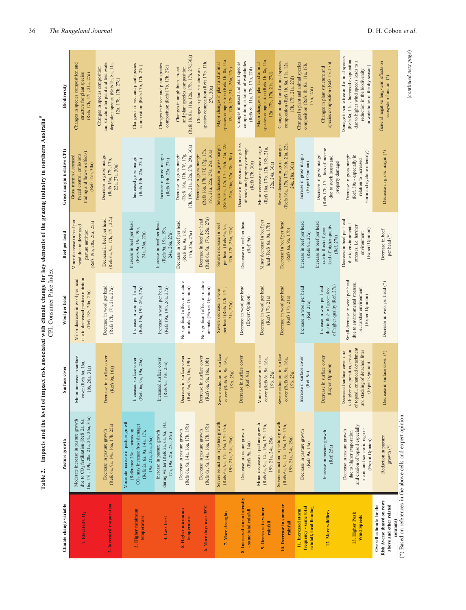| i                                                                  |
|--------------------------------------------------------------------|
| ļ                                                                  |
|                                                                    |
|                                                                    |
| ֖֖֖֖֖֧ׅ֖֧֖֧֚֚֚֚֚֚֚֚֚֚֚֚֚֚֚֚֚֚֚֚֚֚֚֚֚֚֚֚֚֚֬֝֝֓֞֝<br>ļ               |
|                                                                    |
| $\vdots$                                                           |
| l                                                                  |
| ֖֖֖֖֖֖֧ׅ֖֧֪֪ׅ֖֧ׅ֖֧֚֚֚֚֚֚֚֚֚֚֚֚֚֚֚֚֚֚֚֚֚֚֚֚֚֚֚֚֚֬֝֝֓֞֝֬֓֬֓֬֓֬֓֞֬    |
|                                                                    |
| ļ                                                                  |
| j<br>֚                                                             |
|                                                                    |
| I                                                                  |
|                                                                    |
|                                                                    |
| i                                                                  |
|                                                                    |
| i                                                                  |
|                                                                    |
|                                                                    |
| $\frac{1}{2}$                                                      |
| ֖֖֖֖֖֖֖֖ׅ֖ׅ֖ׅ֖֧ׅ֪ׅ֖֧֪ׅ֪֪֪ׅ֖֖֧֚֚֚֚֚֚֚֚֚֚֚֚֚֚֚֚֚֚֚֚֚֚֚֚֚֚֚֚֬֝֝֝<br>j |
|                                                                    |
| i                                                                  |
| ė                                                                  |
| Ş                                                                  |
|                                                                    |
| Ï                                                                  |
|                                                                    |
| j<br>֖֖֖֖֖֖֖֧ׅ֖ׅ֖֧֪֪֪ׅ֖֧֚֚֚֚֚֚֚֚֚֚֚֚֚֚֚֚֚֚֚֚֚֚֬֝֝֝֝֓֞֝             |
|                                                                    |
| Ì<br>i                                                             |
|                                                                    |
|                                                                    |
| į<br>ì                                                             |
|                                                                    |
| ١                                                                  |
|                                                                    |
| i                                                                  |
| Į                                                                  |
| Ì                                                                  |
|                                                                    |
|                                                                    |
| i                                                                  |
| י<br>ו                                                             |
| $\ddot{\phantom{a}}$                                               |
|                                                                    |
| ;                                                                  |
|                                                                    |
| ì                                                                  |
| i                                                                  |
|                                                                    |
| i<br>I                                                             |
|                                                                    |
| Ï<br>í                                                             |
| -                                                                  |
|                                                                    |
|                                                                    |
| i                                                                  |
| ׇ֬֕֡                                                               |
| ï<br>j<br>ನ                                                        |
| ŀ<br>l                                                             |

| í |                |
|---|----------------|
|   |                |
| ١ |                |
|   | <b>ת היונו</b> |
|   |                |

<span id="page-5-0"></span>

| Climate change variable                                                                       | Pasture growth                                                                                                                                                         | Surface cover                                                                                                                                          | Wool per head                                                                                                     | Beef per head                                                                                                  | Gross margin (relative CPI)                                                                                    | Biodiversity                                                                                                                                                                                 |
|-----------------------------------------------------------------------------------------------|------------------------------------------------------------------------------------------------------------------------------------------------------------------------|--------------------------------------------------------------------------------------------------------------------------------------------------------|-------------------------------------------------------------------------------------------------------------------|----------------------------------------------------------------------------------------------------------------|----------------------------------------------------------------------------------------------------------------|----------------------------------------------------------------------------------------------------------------------------------------------------------------------------------------------|
| 1. Elevated CO <sub>2</sub>                                                                   | 6a, 17h, 19b, 20a, 21a, 24a, 26a, 31a)<br>Moderate increase in pasture growth<br>due to CO <sub>2</sub> fertilisation (Refs 2a, 6a,                                    | Minor increase in surface<br>cover (Refs 6a, 16a,<br>19b, 20a, 31a)                                                                                    | Minor decrease in wool per head<br>due to decreased pasture nutrition<br>(Refs 19b, 20a, 21a)                     | Minor decrease in beef per<br>(Refs 19b, 20a, 21a, 25a)<br>head due to decreased<br>pasture nutrition          | trading and flow-on effects)<br>(weed control, emissions<br>Gross margin decreased<br>(Refs 17b, 30a)          | Changes in species composition and<br>(Refs 17b, 17h, 21a, 27d)<br>structure for plant species                                                                                               |
| 2. Increased evaporation                                                                      | (Refs 6a, 9a, 14a, 16a, 17b, 25a)<br>Decrease in pasture growth                                                                                                        | Decrease in surface cover<br>(Refs 9a, 16a)                                                                                                            | Decrease in wool per head<br>(Refs 17b, 17h, 21a, 27a)                                                            | (Refs 6a, 9a, 17b, 17h, 27a)<br>Decrease in beef per head                                                      | Decrease in gross margin<br>(Refs 16a, 17b, 17h,<br>22a, 27a, 30a)                                             | and structure for plant and freshwater<br>dependent species (Refs 1b, 8a, 11a,<br>Changes in species composition<br>12a, 17b, 17h, 27d)                                                      |
| 3. Higher minimum<br>temperature                                                              | Moderate increase in pasture growth<br>CO <sub>2</sub> may increase frost damage)<br>(Reference 23c - increasing<br>(Refs 2a, 6a, 9a, 14a, 17h,<br>19a, 21a, 25a, 26a) | Increased surface cover<br>(Refs 6a, 9a, 19a, 25a)                                                                                                     | Increase in wool per head<br>(Refs 19a, 19b, 26a, 27a)                                                            | Increase in beef per head<br>(Refs 9a, 19a, 19b,<br>24a, 26a, 27a)                                             | Increased gross margin<br>(Refs 19b, 22a, 27a)                                                                 | Changes in insect and plant species<br>composition (Refs 17b, 17h, 27d)                                                                                                                      |
| 4. Less frost                                                                                 | during winter (Refs 2a, 6a, 9a, 14a,<br>Increase in pasture growth<br>17h, 19a, 21a, 25a, 26a)                                                                         | Increased surface cover<br>(Refs 9a, 19a, 25a)                                                                                                         | Increase in wool per head<br>(Refs 19a, 19b, 26a, 27a)                                                            | Increase in beef per head<br>(Refs 9a, 19a, 19b,<br>24a, 26a, 27a)                                             | Increase in gross margin<br>(Refs 19b, 22a, 27a)                                                               | Changes in insect and plant species<br>composition (Refs 17b, 17h, 27d)                                                                                                                      |
| 5. Higher maximum<br>temperature                                                              | (Refs 6a, 9a, 14a, 16a, 17b, 19b)<br>Decrease in pasture growth                                                                                                        | Decrease in surface cover<br>(Refs 6a, 9a, 16a, 19b)                                                                                                   | No significant effect on mature<br>animals (Expert Opinion)                                                       | Decrease in beef per head<br>(Refs 6a, 9a, 17b,<br>17h, 25a, 27a)                                              | 17h, 19b, 21a, 22a, 27a, 29a, 30a)<br>Decrease in gross margin<br>(Refs 16a, 17b, 17f, 17g,                    | (Refs 1b, 8a, 11a, 12a, 17b, 17h, 27d, 30a)<br>and plant species composition<br>Changes in amphibian, insect                                                                                 |
| 6. More days over 35°C                                                                        | (Refs 6a, 9a, 14a, 16a, 17b, 19b)<br>Decrease in pasture growth                                                                                                        | Decrease in surface cover<br>(Refs 6a, 9a, 16a, 19b)                                                                                                   | No significant effect on mature<br>animals (Expert Opinion)                                                       | Refs 6a, 9a, 17b, 25a, 27a)<br>Decrease in beef per head                                                       | 19b, 21a, 22a, 27a, 29a, 30a)<br>(Refs 16a, 17b, 17f, 17g, 17h<br>Decrease in gross margin                     | species composition (Refs 17b, 17h,<br>Changes in plant structure and<br>27d, 30a)                                                                                                           |
| 7. More droughts                                                                              | Severe reduction in pasture growth<br>(Refs 6a, 9a, 14a, 16a, 17b, 17h,<br>19b, 21a, 24a, 25a)                                                                         | Severe reduction in surface<br>cover (Refs 6a, 9a, 16a,<br>19b, 25a)                                                                                   | per head (Refs 17b, 17h,<br>Severe decrease in woo<br>21a, 27a)                                                   | Severe decrease in beef<br>per head (Refs 6a, 9a,<br>17b, 17h, 25a, 27a)                                       | (Refs 16a, 17b, 17h, 19b, 21a, 22a<br>Severe decrease in gross margin<br>24a, 26a, 27a, 28a, 30a)              | species composition (Refs 1b, 8a, 11a,<br>Major changes in plant and animal<br>12a, 17b, 17h, 21a, 26a, 27d)                                                                                 |
| 8. Increased storm intensity<br>- same total rainfall                                         | Decrease in pasture growth<br>(Refs 9a, 14a)                                                                                                                           | Decrease in surface cover<br>(Ref. 9a)                                                                                                                 | Decrease in wool per head<br>(Expert Opinion)                                                                     | Decrease in beef per head<br>(Ref. 9a)                                                                         | Decrease in gross margin e.g. loss<br>of stock and property damage<br>(Refs 17b, 30a)                          | composition; siltation of waterholes<br>Changes in insect and plant species<br>(Refs 8a, 11a, 17b, 17h, 27d)                                                                                 |
| 9. Decrease in winter<br>rainfall                                                             | Minor decrease in pasture growth<br>(Refs 6a, 9a, 14a, 16a, 17b, 17h,<br>19b, 21a, 24a, 25a)                                                                           | Minor decrease in surface<br>cover (Refs 6a, 9a, 16a,<br>19b, 25a)                                                                                     | Decrease in wool per head<br>(Refs 17b, 21a)                                                                      | Minor decrease in beef per<br>head (Refs 6a, 9a, 17b)                                                          | Minor decrease in gross margin<br>(Refs 16a, 17b, 17h, 19b, 21a,<br>22a, 24a, 30a)                             | species composition (Refs 1b, 8a, 11a,<br>Major changes in plant and animal<br>12a, 17b, 17h, 21a, 27d)                                                                                      |
| 10. Decrease in summer<br>rainfall                                                            | Severe reduction in pasture growth<br>(Refs 6a, 9a, 14a, 16a, 17b, 17h,<br>19b, 21a, 24a, 25a)                                                                         | Severe reduction in surface<br>cover (Refs 6a, 9a, 16a,<br>19b, 25a)                                                                                   | Decrease in wool per head<br>(Refs 17b, 21a)                                                                      | Decrease in beef per head<br>(Refs 6a, 9a, 17b)                                                                | (Refs 16a, 17b, 17h, 19b, 21a, 22a<br>Severe decrease in gross margin<br>24a, 28a, 30a)                        | Changes in plant and animal species<br>composition (Refs 1b, 8a, 11a, 12a,<br>17b, 17h, 21a, 27d)                                                                                            |
| frequency - same total<br>rainfall, local flooding<br>11. Increased storm                     | Decrease in pasture growth<br>(Refs 9a, 14a)                                                                                                                           | Increase in surface cover<br>(Ref. 9a)                                                                                                                 | Increase in wool per head<br>(Ref. 27a)                                                                           | Increase in beef per head<br>(Refs 9a, 27a)                                                                    | Increase in gross margin<br>(Expert Opinion)                                                                   | Changes in plant and animal species<br>composition (Refs 1b, 8a, 11a, 17b,<br>17h, 27d)                                                                                                      |
| 12. More wildfires                                                                            | Increase in pasture growth<br>(Ref. 25a)                                                                                                                               | Decrease in surface cover<br>(Expert Opinion)                                                                                                          | of higher quality (Ref. 27a)<br>due to flush of green feed<br>Increase in wool per head                           | Increase in beef per head<br>feed of higher quality<br>due to flush of green<br>(Ref. 27a)                     | (Refs 17b, 17i - loss of income<br>Decrease in gross margin<br>due to stock losses and<br>property damage)     | species composition (Refs 17i,17h)<br>Changes in plant structure and                                                                                                                         |
| 13. Higher Peak<br>Wind Speeds                                                                | and erosion of topsoil especially<br>in arid and semi-arid regions<br>Decrease in pasture growth<br>due to higher evaporation<br>(Expert Opinion)                      | of topsoil, enhanced detachmen<br>and stacking of detached litter<br>to higher evaporation, erosion<br>Decreased surface cover due<br>(Expert Opinion) | Small decrease in wool per head<br>due to environmental stresses,<br>i.e. harsher environment<br>(Expert Opinion) | Decrease in beef per head<br>due to environmental<br>stresses, i.e. harsher<br>(Expert Opinion)<br>environment | storm and cyclone intensity)<br>Decrease in gross margin<br>(Ref. 30a - especially in<br>relation to increased | Damage to some tree and animal species<br>(Refs 8a, 11a - Increased evaporation<br>due to higher wind speeds leads to a<br>in waterholes in the dry season)<br>reduction in the biodiversity |
| Risk Averse (based on rows<br>Overall estimate for the<br>above and other related<br>columns) | Reduction in pasture<br>growth <sup>(*)</sup>                                                                                                                          | Decrease in surface cover (*)                                                                                                                          | Decrease in wool per head (*)                                                                                     | Decrease in beef<br>per head (*)                                                                               | Decrease in gross margin (*)                                                                                   | General negative long-term effects on<br>ecosystem function (*)                                                                                                                              |
|                                                                                               | (*) Based on references in the above cells and expert opinion.                                                                                                         |                                                                                                                                                        |                                                                                                                   |                                                                                                                |                                                                                                                |                                                                                                                                                                                              |

(continued next page)

 $\left( continued\ next\ page\right)$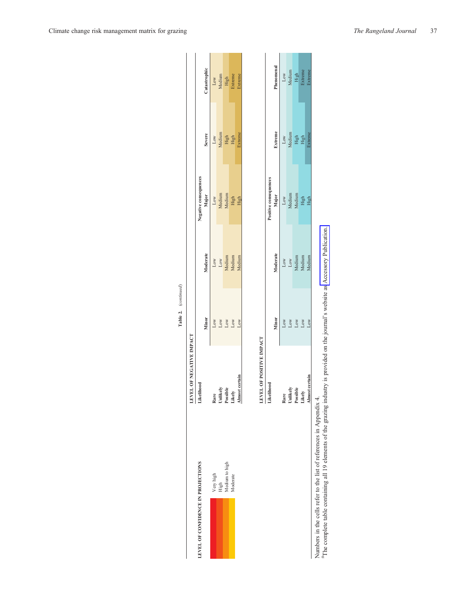|                                   |                                                 | LEVEL OF NEGATIVE IMPACT |              |                 |                       |               |                 |
|-----------------------------------|-------------------------------------------------|--------------------------|--------------|-----------------|-----------------------|---------------|-----------------|
| EVEL OF CONFIDENCE IN PROJECTIONS |                                                 | Likelihood               |              |                 | Negative consequences |               |                 |
|                                   |                                                 |                          | Minor        | Moderate        | Major                 | <b>Severe</b> | Catastrophic    |
|                                   |                                                 | Rare                     | Low          | Low             | Low                   | Low           | Low             |
|                                   |                                                 | Unlikely                 | Low          | Low             | Medium                | Medium        | Medium          |
|                                   | Very high<br>High<br>Medium to high<br>Moderate | Possible                 | $_{\rm Low}$ | Medium          | Medium                |               |                 |
|                                   |                                                 | Likely                   | $_{\rm Low}$ | Medium          | High                  | High<br>High  | High<br>Extreme |
|                                   |                                                 | <b>Almost</b> certain    | Low          | Medium          | High                  | Extreme       | Extreme         |
|                                   |                                                 | LEVEL OF POSITIVE IMPACT |              |                 |                       |               |                 |
|                                   |                                                 | Likelihood               |              |                 | Positive consequences |               |                 |
|                                   |                                                 |                          | Minor        | Moderate        | Major                 | Extreme       | Phenomenal      |
|                                   |                                                 | Rare                     | Low          | Low             | Low                   | Low           | Low             |
|                                   |                                                 | Unlikely                 | Low          | $_{\text{Low}}$ | Medium                | Medium        | Medium          |
|                                   |                                                 | Possible                 | $_{\rm Low}$ | Medium          | Medium                | $\rm High$    | High            |
|                                   |                                                 | Likely                   | $_{\rm Low}$ | Medium          | High<br>High          | High          | Extreme         |
|                                   |                                                 | <b>Almost</b> certain    | Low          | Medium          |                       | Extreme       | Extreme         |

| THE OF NEGATIVE IMPACT |
|------------------------|
|                        |
|                        |

**Table 2.** (*continued*)

Table 2. (continued)

Numbers in the cells refer to the list of references in Appendix 4.

Numbers in the cells refer to the list of references in Appendix 4.<br>
<sup>#</sup>The complete table containing all 19 elements of the grazing industry is provided on the journal's website as Accessory Publication. #The complete table containing all 19 elements of the grazing industry is provided on the journal's website as [Accessory](http://publish.csiro.au/?act=view_file&file_id=RJ08069_AC.xls) Publication.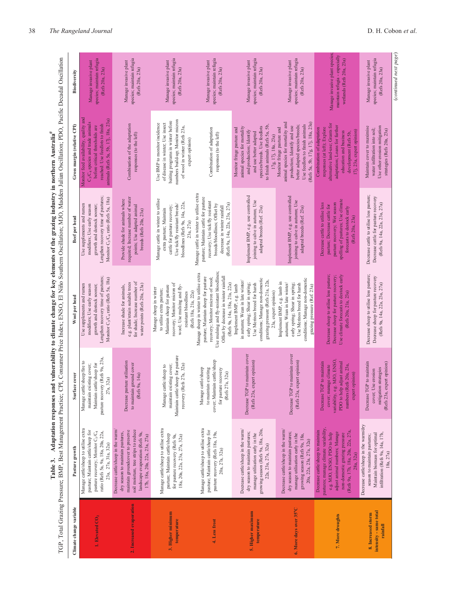| i<br>וני טווי נווני בנו<br>te of the m<br>j<br><b>CONTRACTOR</b><br><b>RECTION INC.</b> Ca.<br>j<br>a alimnad<br>nses and<br>ś | Ì<br>$\overline{a}$<br>las Liza Occiliation BDO Booifa D<br>$\mathcal{L} = \mathcal{L}$ , and $\mathcal{L} = \mathcal{L}$ , and $\mathcal{L} = \mathcal{L}$ , and $\mathcal{L} = \mathcal{L}$<br>م<br>پا<br>$\frac{1}{2}$ $\frac{1}{2}$ $\frac{1}{2}$ $\frac{1}{2}$ $\frac{1}{2}$ $\frac{1}{2}$ $\frac{1}{2}$ $\frac{1}{2}$ $\frac{1}{2}$ $\frac{1}{2}$ $\frac{1}{2}$ $\frac{1}{2}$ $\frac{1}{2}$ $\frac{1}{2}$ $\frac{1}{2}$ $\frac{1}{2}$ $\frac{1}{2}$ $\frac{1}{2}$ $\frac{1}{2}$ $\frac{1}{2}$ $\frac{1}{2}$ $\frac{1}{2}$<br>$\sim$ |
|--------------------------------------------------------------------------------------------------------------------------------|-------------------------------------------------------------------------------------------------------------------------------------------------------------------------------------------------------------------------------------------------------------------------------------------------------------------------------------------------------------------------------------------------------------------------------------------------------------------------------------------------------------------------------------------|
|                                                                                                                                | I                                                                                                                                                                                                                                                                                                                                                                                                                                                                                                                                         |
|                                                                                                                                | トレー                                                                                                                                                                                                                                                                                                                                                                                                                                                                                                                                       |

<span id="page-7-0"></span>

| Climate change variable                                  | TGP, Total Grazing Pressure; BMP, Best Management Practice; CPI, Consumer Price Index; ENSO, El Niño Southern Oscillation; MJO, Madden Julian Oscillation; PDO, Pacific Decadal Oscillation<br>Pasture growth                 | Surface cover                                                                                                                                               | Wool per head                                                                                                                                                                                                                                                      | Beef per head                                                                                                                                                                                                        | Gross margin (relative CPI                                                                                                                                                                                    | Biodiversity                                                                               |
|----------------------------------------------------------|-------------------------------------------------------------------------------------------------------------------------------------------------------------------------------------------------------------------------------|-------------------------------------------------------------------------------------------------------------------------------------------------------------|--------------------------------------------------------------------------------------------------------------------------------------------------------------------------------------------------------------------------------------------------------------------|----------------------------------------------------------------------------------------------------------------------------------------------------------------------------------------------------------------------|---------------------------------------------------------------------------------------------------------------------------------------------------------------------------------------------------------------|--------------------------------------------------------------------------------------------|
| 1. Elevated CO <sub>2</sub>                              | Manage cattle/sheep to utilise extra<br>pasture; Maintain cattle/sheep for<br>pasture recovery; Monitor C <sub>3</sub> /C <sub>4</sub><br>ratio (Refs 5a, 9a, 18a, 20a, 22a,<br>23a, 27a, 31a, 32a)                           | pasture recovery (Refs 9a, 23a,<br>Manage cattle/sheep/fire to<br>Maintain cattle/sheep for<br>maintain existing cover;<br>27a, 32a)                        | Lengthen recovery time of pastures<br>Monitor C <sub>3</sub> /C <sub>4</sub> ratio (Refs 5a, 18a)<br>Use supplements and rumen<br>growth and destock sooner;<br>modifiers; Use early season                                                                        | Lengthen recovery time of pastures;<br>Monitor C <sub>3</sub> /C <sub>4</sub> ratio (Refs 5a, 18a)<br>Use supplements and rumen<br>modifiers; Use early season<br>growth and destock sooner;                         | Monitor feed availability, quality and<br>animals (Refs 5a, 5b, 17j, 18a, 23a)<br>$C_3/C_4$ species and trade animals<br>reached: Use feedlots to finish<br>before critical thresholds are                    | species; maintain refugia<br>Manage invasive plant<br>(Refs 20a, 23a)                      |
| 2. Increased evaporation                                 | Decrease cattle/sheep in the warm/<br>soil moisture, tree strips to reduce<br>maintain groundcover to preserve<br>dry season to maintain pastures,<br>landscape evaporation (Refs 9a,<br>17h, 18a, 20a, 22a, 23a, 27a)        | Decrease pasture utilisation<br>to maintain ground cover<br>(Refs 9a, 14a)                                                                                  | for shade; Increase number of<br>e.g. plant/retain suitable trees<br>water points (Refs 20a, 23a)<br>Increase shade for animals,                                                                                                                                   | required; Increase number of water<br>Provide shade for animals where<br>points; Use adapted animal<br>breeds (Refs 20a, 23a)                                                                                        | Combination of the adaptation<br>responses (to the left)                                                                                                                                                      | species; maintain refugia<br>Manage invasive plant<br>(Refs 20a, 23a)                      |
| 3. Higher minimum<br>temperature                         | Manage cattle/sheep to utilise extra<br>pasture; Maintain cattle/sheep<br>for pasture recovery (Refs 9a,<br>18a, 20a, 22a, 23a, 27a, 32a)                                                                                     | Maintain cattle/sheep for pasture<br>recovery (Refs 27a, 32a)<br>maintain existing cover;<br>Manage cattle/sheep to                                         | recovery; Monitor micron of<br>Maintain sheep for pasture<br>wool; Use mulsing and fly-<br>Manage sheep in winter<br>to utilise extra pasture;<br>resistant bloodlines                                                                                             | Manage cattle in winter to utilise<br>bloodlines (Refs 9a, 14a, 22a<br>Use tick/fly resistant breeds/<br>cattle for pasture recovery;<br>extra pasture; Maintain<br>23a, 27a)                                        | numbers build-up; Monitor micron<br>baiting programs in winter before<br>of disease in winter; Use insect<br>Use BMP to monitor incidence<br>of wool in winter (Refs 23a,<br>expert opinion)                  | species; maintain refugia<br>Manage invasive plant<br>(Refs 20a, 23a)                      |
| 4. Less frost                                            | Manage cattle/sheep to utilise extra<br>pasture; Maintain cattle/sheep for<br>pasture recovery (Refs 18a, 19a,<br>20a, 27a, 32a)                                                                                              | cover; Maintain cattle/sheep<br>Manage cattle/sheep<br>to maintain existing<br>for pasture recovery<br>(Refs 27a, 32a)                                      | Use mulsing and fly-resistant bloodlines;<br>Manage sheep in winter to utilise extra<br>pasture; Maintain sheep for pasture<br>recovery; Monitor micron of wool;<br>Offset by decrease in winter rainfall<br>(Refs 9a, 14a, 18a, 21a, 22a)<br>(Refs 18a, 21a, 22a) | Manage cattle in winter to utilise extra<br>pasture; Maintain cattle for pasture<br>recovery; Use tick/fly resistant<br>(Refs 9a, 14a, 22a, 23a, 27a)<br>breeds/bloodlines; Offset by<br>decrease in winter rainfall | Combination of adaptation<br>responses (to the left)                                                                                                                                                          | species; maintain refugia<br>Manage invasive plant<br>(Refs 20a, 23a)                      |
| 5. Higher maximum<br>temperature                         | Decrease cattle/sheep in the warm/<br>growing season (Refs 9a, 18a, 20a,<br>dry season to maintain pastures;<br>manage utilisation early in the<br>22a, 23a, 27a, 32a)                                                        | Decrease TGP to maintain cover<br>(Refs 23a, expert opinion)                                                                                                | conditions; Manage non-domestic<br>grazing pressure (Refs 21a, 22a,<br>in autumn; Wean in late winter.<br>early spring; Shear in spring;<br>Use Merinos breed for harsh<br>Implement BMP, e.g. lamb<br>23a, expert opinion)                                        | Implement BMP, e.g. use controlled<br>joining to calve in autumn; Use<br>adapted breeds (Ref. 23a)                                                                                                                   | to finish animals (Refs 5a, 5b,<br>species/breeds. Use feedlots<br>animal species for mortality<br>Monitor fringe pasture and<br>and production; Identify<br>and use better adapted<br>17g, 17j, 18a, 23a)    | species; maintain refugia<br>Manage invasive plant<br>(Refs 20a, 23a)                      |
| 6. More days over 35°C                                   | Decrease cattle/sheep in the warm/<br>dry season to maintain pastures;<br>manage utilisation early in the<br>growing season (Refs 9a, 18a,<br>20a, 22a, 23a, 27a, 32a)                                                        | Decrease TGP to maintain cover<br>23a, expert opinion)<br>(Refs                                                                                             | conditions; Manage non-domestic<br>Implement BMP, e.g. lamb in<br>autumn; Wean in late winter/<br>early spring; Shear in spring;<br>Use Merinos breed for harsh<br>grazing pressure (Ref. 23a)                                                                     | Implement BMP, e.g. use controlled<br>joining to calve in autumn; Use<br>adapted breeds (Ref. 23a)                                                                                                                   | animal species for mortality and<br>(Refs 5a, 5b, 17g, 17j, 18a, 23a)<br>Use feedlots to finish animals<br>better adapted species/breeds;<br>production; Identify and use<br>Monitor fringe pasture and       | species; maintain refugia<br>Manage invasive plant<br>(Refs 20a, 23a)                      |
| 7. More droughts                                         | pastures; manage climate variability<br>Decrease cattle/sheep to maintain<br>(Refs 9a, 17h, 18a, 20a, 22a, 27a,<br>adjust animal numbers; Manage<br>e.g. MJO, ENSO, PDO to help<br>non-domestic grazing pressure<br>28a, 32a) | variability, e.g. MJO, ENSO<br>PDO to help adjust animal<br>Decrease TGP to maintain<br>numbers (Refs 20a, 23a,<br>cover; manage climate<br>expert opinion) | Decrease sheep to utilise less pasture;<br>Use climate forecasts to destock early<br>Decrease sheep for pasture recovery;<br>(Refs 20a, 21a, 23a)                                                                                                                  | spelling of pastures; Use climate<br>pasture recovery; Wet season<br>Decrease cattle to utilise less<br>pasture; Decrease cattle for<br>forecasts to destock early<br>(Refs 20a, 23a)                                | alternative land-use; Grants for<br>adaptation; Loans for further<br>Combination of adaptation<br>responses (at left); Explore<br>17j, 23a, expert opinion)<br>education and business<br>development (Refs 5b | Manage invasive plant species<br>maintain refugia - especially<br>wetlands (Refs 20a, 23a) |
| intensity - same total<br>8. Increased storm<br>rainfall | Decrease cattle/sheep in the warm/dry<br>infiltration (Refs 9a, 14a, 17h,<br>Maintain biomass for optimal<br>season to maintain pastures;<br>18a, 27a)                                                                        | Decrease TGP to maintain<br>(Refs 23a, expert opinion)<br>mitigation strategies<br>cover; Use erosion                                                       | Decrease sheep to utilise less pasture;<br>Decrease sheep for pasture recovery<br>(Refs 9a, 14a, 22a, 23a, 27a)                                                                                                                                                    | Decrease cattle to utilise less pasture;<br>Decrease cattle for pasture recovery<br>(Refs 9a, 14a, 22a, 23a, 27a)                                                                                                    | Use other erosion mitigation<br>Maintain cover to maximise<br>water infiltration into soil;<br>strategies (Refs 20a, 23a)                                                                                     | species; maintain refugia<br>Manage invasive plant<br>(Refs 20a, 23a)                      |
|                                                          |                                                                                                                                                                                                                               |                                                                                                                                                             |                                                                                                                                                                                                                                                                    |                                                                                                                                                                                                                      |                                                                                                                                                                                                               | (continued next page)                                                                      |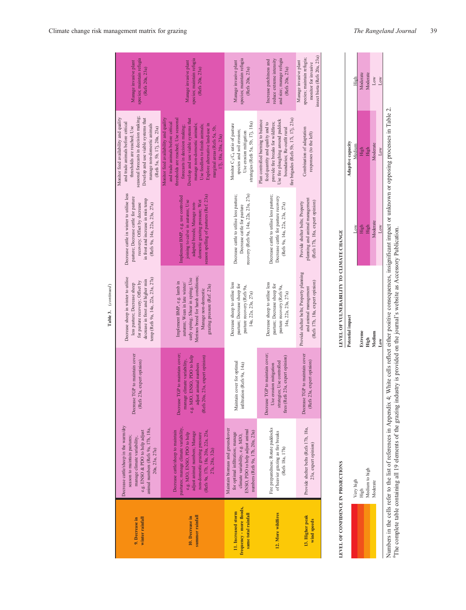|                                                                        |                                                                                                                                                                                                                                    |                                                                                                                                                           | Table 3. (continued)                                                                                                                                                                           |                                                                                                                                                                                         |                                                                                                                                                                                                                                                                                                                                                         |                                                                                                             |
|------------------------------------------------------------------------|------------------------------------------------------------------------------------------------------------------------------------------------------------------------------------------------------------------------------------|-----------------------------------------------------------------------------------------------------------------------------------------------------------|------------------------------------------------------------------------------------------------------------------------------------------------------------------------------------------------|-----------------------------------------------------------------------------------------------------------------------------------------------------------------------------------------|---------------------------------------------------------------------------------------------------------------------------------------------------------------------------------------------------------------------------------------------------------------------------------------------------------------------------------------------------------|-------------------------------------------------------------------------------------------------------------|
| winter rainfall<br>9. Decrease in                                      | Decrease cattle/sheep in the warm/dry<br>animal numbers (Refs 9a, 17h, 18a,<br>e.g. ENSO & PDO to help adjust<br>season to maintain pastures;<br>manage climate variability,<br>20a, 23a, 27a)                                     | Decrease TGP to maintain cover<br>(Refs 23a, expert opinion)                                                                                              | Decrease sheep in winter to utilise<br>temp (Refs 9a, 14a, 22a, 23a, 27a)<br>decrease in frost and higher min<br>for pasture recovery; Offset by<br>less pasture; Decrease sheep               | Decrease cattle in winter to utilise less<br>pasture; Decrease cattle for pasture<br>in frost and increase in min temp<br>recovery; Offset by decrease<br>(Refs 9a, 14a, 22a, 23a, 27a) | seasonal forecasts in decision making;<br>Monitor feed availability and quality<br>Develop and use viable systems that<br>and trade animals before critical<br>manage non-domestic animals<br>thresholds are reached; Use<br>(Refs 5a, 5b, 17j, 20a, 23a)                                                                                               | species; maintain refugia<br>Manage invasive plant<br>(Refs 20a, 23a)                                       |
| summer rainfall<br>10. Decrease in                                     | pastures; manage climate variability,<br>Decrease cattle/sheep to maintain<br>Refs 9a, 17h, 18a, 20a, 22a, 23a,<br>adjust animal numbers; Manage<br>e.g. MJO, ENSO, PDO to help<br>non-domestic grazing pressure<br>27a, 28a, 32a) | Decrease TGP to maintain cover;<br>e.g. MJO, ENSO, PDO to help<br>(Refs 20a, 23a, expert opinion)<br>manage climate variability,<br>adjust animal numbers | Merinos breed for harsh conditions;<br>early spring; Shear in spring; Use<br>Implement BMP, e.g. lamb in<br>autumn; Wean in late winter/<br>grazing pressure (Ref. 23a)<br>Manage non-domestic | season spelling of pastures (Ref. 23a)<br>Implement BMP, e.g. use controlled<br>joining to calve in autumn; Use<br>domestic grazing pressure; Wet<br>adapted breeds; Manage non-        | Monitor feed availability and quality<br>thresholds are reached; Use seasonal<br>Develop and use viable systems that<br>and trade animals before critical<br>manage non-domestic animals;<br>Explore alternative land-use in<br>Use feedlots to finish animals;<br>forecasts in decision making;<br>marginal areas (Refs 5a, 5b,<br>17j, 18a, 20a, 23a) | species; maintain refugia<br>Manage invasive plant<br>(Refs 20a, 23a)                                       |
| frequency - more floods,<br>11. Increased storm<br>same total rainfall | Maintain biomass and groundcover<br>ENSO, PDO to help adjust animal<br>numbers (Refs 9a, 17h, 20a, 23a)<br>for optimal infiltration; manage<br>climate variability, e.g. MJO,                                                      | Maintain cover for optimal<br>infiltration (Refs 9a, 14a)                                                                                                 | Decrease sheep to utilise less<br>pasture; Decrease sheep for<br>pasture recovery (Refs 9a,<br>14a, 22a, 23a, 27a)                                                                             | recovery (Refs 9a, 14a, 22a, 23a, 27a)<br>Decrease cattle to utilise less pasture;<br>Decrease cattle for pasture                                                                       | strategies (Refs 5a, 5b, 17j, 18a)<br>Monitor C <sub>3</sub> /C <sub>4</sub> ratio of pasture<br>species and soil erosion;<br>Use erosion mitigation                                                                                                                                                                                                    | species; maintain refugia<br>Manage invasive plant<br>(Refs 20a, 23a)                                       |
| 12. More wildfires                                                     | Fire preparedness; Rotate paddocks<br>of heavier grazing as fire breaks<br>(Refs 18a, 17h)                                                                                                                                         | Decrease TGP to maintain cover;<br>fires (Refs 23a, expert opinion)<br>strategies; Use controlled<br>Use erosion mitigation                               | Decrease sheep to utilise less<br>pasture; Decrease sheep for<br>pasture recovery (Refs 9a,<br>14a, 22a, 23a, 27a)                                                                             | Decrease cattle to utilise less pasture;<br>Decrease cattle for pasture recovery<br>(Refs 9a, 14a, 22a, 23a, 27a)                                                                       | fire brigades (Refs 5b, 17i, 17j, 23a)<br>Use fire ploughing around paddock<br>Plan controlled burning to balance<br>feed quantity and quality and to<br>provide fire breaks for wildfires;<br>boundaries; Re-outfit rural                                                                                                                              | and size; manage refugia<br>reduce extreme intensity<br>Increase patchiness and<br>(Refs 20a, 23a)          |
| 13. Higher peak<br>wind speeds                                         | Provide shelter belts (Refs 17h, 18a,<br>23a, expert opinion)                                                                                                                                                                      | Decrease TGP to maintain cover<br>(Refs 23a, expert opinion)                                                                                              | Provide shelter belts; Property planning<br>(Refs 17h, 18a, expert opinion)<br>and animal management                                                                                           | planning and animal management<br>(Refs 17h, 18a, expert opinion)<br>Provide shelter belts; Property                                                                                    | Combination of adaptation<br>responses (to the left)                                                                                                                                                                                                                                                                                                    | insect biota (Refs 20a, 23a)<br>species; maintain refugia;<br>Manage invasive plant<br>monitor for invasive |
| <b>EVEL OF CONFIDENCE IN PROJECTIONS</b>                               |                                                                                                                                                                                                                                    |                                                                                                                                                           | LEVEL OF VULNERABILITY TO CLIMATE CHANGE                                                                                                                                                       |                                                                                                                                                                                         |                                                                                                                                                                                                                                                                                                                                                         |                                                                                                             |

LEVEL OF CONFIDENCE IN PROJECTIONS

High<br>Moderate<br>Moderate High **Extreme** High High Moderate Medium to high **High** High High Moderate Low<br>Low Very high Low Medium High Moderate **Medium** Moderate Moderate Low **Low** Low Low Low Adaptive capacity<br>Medium High<br>High<br>Moderate **Potential impact Adaptive capacity** Low High<br>High<br>Moderate Low Low LEVEL OF VULNERABILITY TO CLIMATE CHANGE<br>Potential impact Extreme High<br>Medium Low Very high<br>High<br>Medium to high<br>Moderate

Numbers in the cells refer to the list of references in Appendix 4; White cells reflect either positive consequences, insignificant impact or unknown or opposing processes in Table 2.<br>
<sup>\*</sup>The complete table containing all Numbers in the cells refer to the list of references in Appendix 4; White cells reflect either positive consequences, insignificant impact or unknown or opposing processes in [Table](#page-5-0) 2.<br>"The complete table containing all 19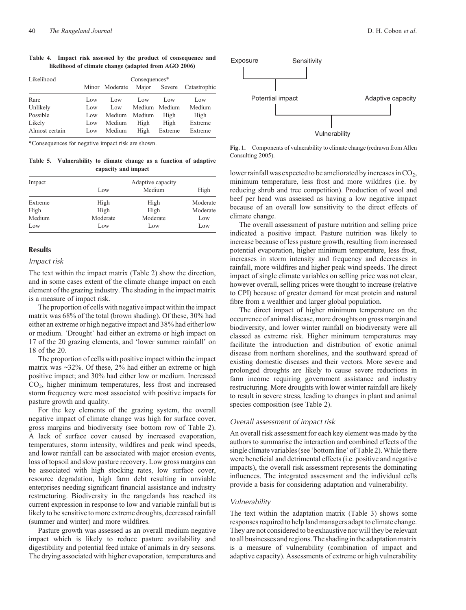<span id="page-9-0"></span>**Table 4. Impact risk assessed by the product of consequence and likelihood of climate change (adapted from AGO 2006)**

| Likelihood     |     |                | Consequences* |               |              |
|----------------|-----|----------------|---------------|---------------|--------------|
|                |     | Minor Moderate |               | Major Severe  | Catastrophic |
| Rare           | Low | Low            | Low           | Low           | Low          |
| Unlikely       | Low | Low            |               | Medium Medium | Medium       |
| Possible       | Low | Medium         | Medium        | High          | High         |
| Likely         | Low | Medium         | High          | High          | Extreme      |
| Almost certain | Low | Medium         | High          | Extreme       | Extreme      |

\*Consequences for negative impact risk are shown.

[Consulting 2005\)](#page-13-0). **Table 5. Vulnerability to climate change as a function of adaptive capacity and impact**

| Impact  |          | Adaptive capacity |          |
|---------|----------|-------------------|----------|
|         | Low      | Medium            | High     |
| Extreme | High     | High              | Moderate |
| High    | High     | High              | Moderate |
| Medium  | Moderate | Moderate          | Low      |
| Low     | Low      | Low               | Low      |

#### **Results**

#### *Impact risk*

The text within the impact matrix [\(Table 2\)](#page-5-0) show the direction, and in some cases extent of the climate change impact on each element of the grazing industry. The shading in the impact matrix is a measure of impact risk.

The proportion of cells with negative impact within the impact matrix was 68% of the total (brown shading). Of these, 30% had either an extreme or high negative impact and 38% had either low or medium. 'Drought' had either an extreme or high impact on 17 of the 20 grazing elements, and 'lower summer rainfall' on 18 of the 20.

The proportion of cells with positive impact within the impact matrix was ~32%. Of these, 2% had either an extreme or high positive impact; and 30% had either low or medium. Increased CO2, higher minimum temperatures, less frost and increased storm frequency were most associated with positive impacts for pasture growth and quality.

For the key elements of the grazing system, the overall negative impact of climate change was high for surface cover, gross margins and biodiversity (see bottom row of [Table 2](#page-5-0)). A lack of surface cover caused by increased evaporation, temperatures, storm intensity, wildfires and peak wind speeds, and lower rainfall can be associated with major erosion events, loss of topsoil and slow pasture recovery. Low gross margins can be associated with high stocking rates, low surface cover, resource degradation, high farm debt resulting in unviable enterprises needing significant financial assistance and industry restructuring. Biodiversity in the rangelands has reached its current expression in response to low and variable rainfall but is likely to be sensitive to more extreme droughts, decreased rainfall (summer and winter) and more wildfires.

Pasture growth was assessed as an overall medium negative impact which is likely to reduce pasture availability and digestibility and potential feed intake of animals in dry seasons. The drying associated with higher evaporation, temperatures and



**Fig. 1.** Components of vulnerability to climate change (redrawn from [Allen](#page-13-0)

lower rainfall was expected to be ameliorated by increases in  $CO<sub>2</sub>$ , minimum temperature, less frost and more wildfires (i.e. by reducing shrub and tree competition). Production of wool and beef per head was assessed as having a low negative impact because of an overall low sensitivity to the direct effects of climate change.

The overall assessment of pasture nutrition and selling price indicated a positive impact. Pasture nutrition was likely to increase because of less pasture growth, resulting from increased potential evaporation, higher minimum temperature, less frost, increases in storm intensity and frequency and decreases in rainfall, more wildfires and higher peak wind speeds. The direct impact of single climate variables on selling price was not clear, however overall, selling prices were thought to increase (relative to CPI) because of greater demand for meat protein and natural fibre from a wealthier and larger global population.

The direct impact of higher minimum temperature on the occurrence of animal disease, more droughts on gross margin and biodiversity, and lower winter rainfall on biodiversity were all classed as extreme risk. Higher minimum temperatures may facilitate the introduction and distribution of exotic animal disease from northern shorelines, and the southward spread of existing domestic diseases and their vectors. More severe and prolonged droughts are likely to cause severe reductions in farm income requiring government assistance and industry restructuring. More droughts with lower winter rainfall are likely to result in severe stress, leading to changes in plant and animal species composition (see [Table 2\)](#page-5-0).

#### *Overall assessment of impact risk*

An overall risk assessment for each key element was made by the authors to summarise the interaction and combined effects of the single climate variables (see 'bottom line' of [Table 2](#page-5-0)).While there were beneficial and detrimental effects (i.e. positive and negative impacts), the overall risk assessment represents the dominating influences. The integrated assessment and the individual cells provide a basis for considering adaptation and vulnerability.

#### *Vulnerability*

The text within the adaptation matrix [\(Table 3](#page-7-0)) shows some responses required to help land managers adapt to climate change. They are not considered to be exhaustive nor will they be relevant to all businesses and regions. The shading in the adaptation matrix is a measure of vulnerability (combination of impact and adaptive capacity). Assessments of extreme or high vulnerability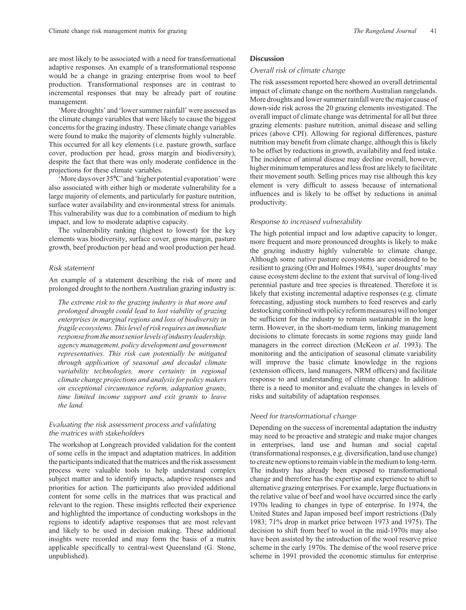are most likely to be associated with a need for transformational adaptive responses. An example of a transformational response would be a change in grazing enterprise from wool to beef production. Transformational responses are in contrast to incremental responses that may be already part of routine management.

'More droughts' and 'lower summer rainfall' were assessed as the climate change variables that were likely to cause the biggest concerns for the grazing industry. These climate change variables were found to make the majority of elements highly vulnerable. This occurred for all key elements (i.e. pasture growth, surface cover, production per head, gross margin and biodiversity), despite the fact that there was only moderate confidence in the projections for these climate variables.

'More days over 35°C' and 'higher potential evaporation' were also associated with either high or moderate vulnerability for a large majority of elements, and particularly for pasture nutrition, surface water availability and environmental stress for animals. This vulnerability was due to a combination of medium to high impact, and low to moderate adaptive capacity.

The vulnerability ranking (highest to lowest) for the key elements was biodiversity, surface cover, gross margin, pasture growth, beef production per head and wool production per head.

#### *Risk statement*

An example of a statement describing the risk of more and prolonged drought to the northern Australian grazing industry is:

*The extreme risk to the grazing industry is that more and prolonged drought could lead to lost viability of grazing enterprises in marginal regions and loss of biodiversity in fragile ecosystems. This level of risk requires an immediate response fromthe most senior levels ofindustry leadership, agency management, policy development and government representatives. This risk can potentially be mitigated through application of seasonal and decadal climate variability technologies, more certainty in regional climate change projections and analysis for policy makers on exceptional circumstance reform, adaptation grants, time limited income support and exit grants to leave the land.*

## *Evaluating the risk assessment process and validating the matrices with stakeholders*

The workshop at Longreach provided validation for the content of some cells in the impact and adaptation matrices. In addition the participants indicated that the matrices and the risk assessment process were valuable tools to help understand complex subject matter and to identify impacts, adaptive responses and priorities for action. The participants also provided additional content for some cells in the matrices that was practical and relevant to the region. These insights reflected their experience and highlighted the importance of conducting workshops in the regions to identify adaptive responses that are most relevant and likely to be used in decision making. These additional insights were recorded and may form the basis of a matrix applicable specifically to central-west Queensland (G. Stone, unpublished).

#### **Discussion**

#### *Overall risk of climate change*

The risk assessment reported here showed an overall detrimental impact of climate change on the northern Australian rangelands. More droughts and lower summer rainfall were the major cause of down-side risk across the 20 grazing elements investigated. The overall impact of climate change was detrimental for all but three grazing elements: pasture nutrition, animal disease and selling prices (above CPI). Allowing for regional differences, pasture nutrition may benefit from climate change, although this is likely to be offset by reductions in growth, availability and feed intake. The incidence of animal disease may decline overall, however, higher minimum temperatures and less frost are likely to facilitate their movement south. Selling prices may rise although this key element is very difficult to assess because of international influences and is likely to be offset by reductions in animal productivity.

#### *Response to increased vulnerability*

The high potential impact and low adaptive capacity to longer, more frequent and more pronounced droughts is likely to make the grazing industry highly vulnerable to climate change. Although some native pasture ecosystems are considered to be resilient to grazing ([Orr and Holmes 1984](#page-15-0)), 'super droughts' may cause ecosystem decline to the extent that survival of long-lived perennial pasture and tree species is threatened. Therefore it is likely that existing incremental adaptive responses (e.g. climate forecasting, adjusting stock numbers to feed reserves and early destocking combined with policy reform measures) will nolonger be sufficient for the industry to remain sustainable in the long term. However, in the short-medium term, linking management decisions to climate forecasts in some regions may guide land managers in the correct direction [\(McKeon](#page-15-0) *et al*. 1993). The monitoring and the anticipation of seasonal climate variability will improve the basic climate knowledge in the regions (extension officers, land managers, NRM officers) and facilitate response to and understanding of climate change. In addition there is a need to monitor and evaluate the changes in levels of risks and suitability of adaptation responses.

#### *Need for transformational change*

Depending on the success of incremental adaptation the industry may need to be proactive and strategic and make major changes in enterprises, land use and human and social capital (transformational responses, e.g. diversification, land use change) to create new options to remain viable in the medium to long-term. The industry has already been exposed to transformational change and therefore has the expertise and experience to shift to alternative grazing enterprises. For example, large fluctuations in the relative value of beef and wool have occurred since the early 1970s leading to changes in type of enterprise. In 1974, the United States and Japan imposed beef import restrictions [\(Daly](#page-14-0) [1983](#page-14-0); 71% drop in market price between 1973 and 1975). The decision to shift from beef to wool in the mid-1970s may also have been assisted by the introduction of the wool reserve price scheme in the early 1970s. The demise of the wool reserve price scheme in 1991 provided the economic stimulus for enterprise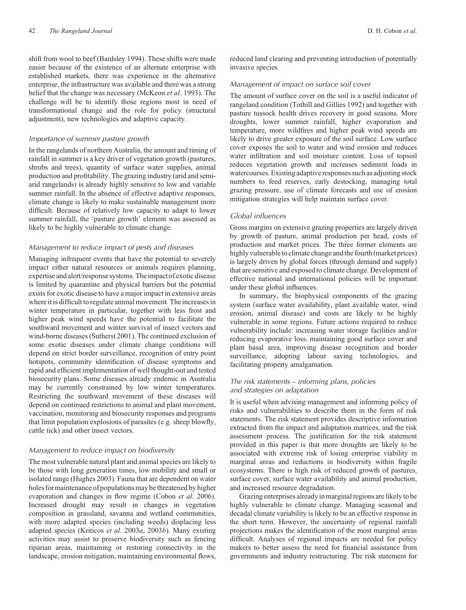shift from wool to beef ([Bardsley 1994](#page-14-0)). These shifts were made easier because of the existence of an alternate enterprise with established markets, there was experience in the alternative enterprise, the infrastructure was available and there was a strong belief that the change was necessary [\(McKeon](#page-15-0) *et al*. 1993). The challenge will be to identify those regions most in need of transformational change and the role for policy (structural adjustment), new technologies and adaptive capacity.

## *Importance of summer pasture growth*

In the rangelands of northern Australia, the amount and timing of rainfall in summer is a key driver of vegetation growth (pastures, shrubs and trees), quantity of surface water supplies, animal production and profitability. The grazing industry (arid and semiarid rangelands) is already highly sensitive to low and variable summer rainfall. In the absence of effective adaptive responses, climate change is likely to make sustainable management more difficult. Because of relatively low capacity to adapt to lower summer rainfall, the 'pasture growth' element was assessed as likely to be highly vulnerable to climate change.

## *Management to reduce impact of pests and diseases*

Managing infrequent events that have the potential to severely impact either natural resources or animals requires planning, expertise and alert/response systems. The impact of exotic disease is limited by quarantine and physical barriers but the potential exists for exotic disease to have a major impact in extensive areas where it is difficult to regulate animal movement. The increases in winter temperature in particular, together with less frost and higher peak wind speeds have the potential to facilitate the southward movement and winter survival of insect vectors and wind-borne diseases [\(Sutherst 2001](#page-15-0)). The continued exclusion of some exotic diseases under climate change conditions will depend on strict border surveillance, recognition of entry point hotspots, community identification of disease symptoms and rapid and efficient implementation of well thought-out and tested biosecurity plans. Some diseases already endemic in Australia may be currently constrained by low winter temperatures. Restricting the southward movement of these diseases will depend on continued restrictions to animal and plant movement, vaccination, monitoring and biosecurity responses and programs that limit population explosions of parasites (e.g. sheep blowfly, cattle tick) and other insect vectors.

## *Management to reduce impact on biodiversity*

The most vulnerable natural plant and animal species are likely to be those with long generation times, low mobility and small or isolated range [\(Hughes 2003\)](#page-14-0). Fauna that are dependent on water holes for maintenance of populations may be threatened by higher evaporation and changes in flow regime [\(Cobon](#page-14-0) *et al*. 2006). Increased drought may result in changes in vegetation composition in grassland, savanna and wetland communities, with more adapted species (including weeds) displacing less adapted species ([Kriticos](#page-14-0) *et al*. 2003*a*, [2003](#page-14-0)*b*). Many existing activities may assist to preserve biodiversity such as fencing riparian areas, maintaining or restoring connectivity in the landscape, erosion mitigation, maintaining environmental flows, reduced land clearing and preventing introduction of potentially invasive species.

## *Management of impact on surface soil cover*

The amount of surface cover on the soil is a useful indicator of rangeland condition [\(Tothill and Gillies 1992\)](#page-15-0) and together with pasture tussock health drives recovery in good seasons. More droughts, lower summer rainfall, higher evaporation and temperature, more wildfires and higher peak wind speeds are likely to drive greater exposure of the soil surface. Low surface cover exposes the soil to water and wind erosion and reduces water infiltration and soil moisture content. Loss of topsoil reduces vegetation growth and increases sediment loads in watercourses. Existing adaptive responses such as adjusting stock numbers to feed reserves, early destocking, managing total grazing pressure, use of climate forecasts and use of erosion mitigation strategies will help maintain surface cover.

## *Global influences*

Gross margins on extensive grazing properties are largely driven by growth of pasture, animal production per head, costs of production and market prices. The three former elements are highly vulnerable to climate change and the fourth (market prices) is largely driven by global forces (through demand and supply) that are sensitive and exposed to climate change. Development of effective national and international policies will be important under these global influences.

In summary, the biophysical components of the grazing system (surface water availability, plant available water, wind erosion, animal disease) and costs are likely to be highly vulnerable in some regions. Future actions required to reduce vulnerability include: increasing water storage facilities and/or reducing evaporative loss, maintaining good surface cover and plant basal area, improving disease recognition and border surveillance, adopting labour saving technologies, and facilitating property amalgamation.

## *The risk statements – informing plans, policies and strategies on adaptation*

It is useful when advising management and informing policy of risks and vulnerabilities to describe them in the form of risk statements. The risk statement provides descriptive information extracted from the impact and adaptation matrices, and the risk assessment process. The justification for the risk statement provided in this paper is that more droughts are likely to be associated with extreme risk of losing enterprise viability in marginal areas and reductions in biodiversity within fragile ecosystems. There is high risk of reduced growth of pastures, surface cover, surface water availability and animal production, and increased resource degradation.

Grazing enterprises already in marginal regions are likely to be highly vulnerable to climate change. Managing seasonal and decadal climate variability is likely to be an effective response in the short term. However, the uncertainty of regional rainfall projections makes the identification of the most marginal areas difficult. Analyses of regional impacts are needed for policy makers to better assess the need for financial assistance from governments and industry restructuring. The risk statement for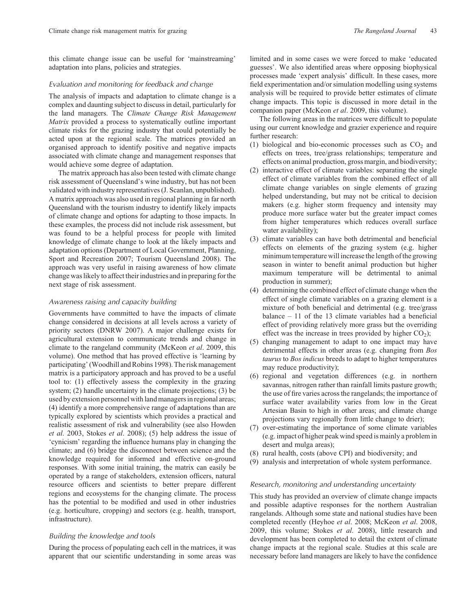this climate change issue can be useful for 'mainstreaming' adaptation into plans, policies and strategies.

## *Evaluation and monitoring for feedback and change*

The analysis of impacts and adaptation to climate change is a complex and daunting subject to discuss in detail, particularly for the land managers. The *Climate Change Risk Management Matrix* provided a process to systematically outline important climate risks for the grazing industry that could potentially be acted upon at the regional scale. The matrices provided an organised approach to identify positive and negative impacts associated with climate change and management responses that would achieve some degree of adaptation.

The matrix approach has also been tested with climate change risk assessment of Queensland's wine industry, but has not been validated with industry representatives (J. Scanlan, unpublished). A matrix approach was also used in regional planning in far north Queensland with the tourism industry to identify likely impacts of climate change and options for adapting to those impacts. In these examples, the process did not include risk assessment, but was found to be a helpful process for people with limited knowledge of climate change to look at the likely impacts and adaptation options ([Department of Local Government, Planning,](#page-14-0) [Sport and Recreation 2007;](#page-14-0) [Tourism Queensland 2008](#page-15-0)). The approach was very useful in raising awareness of how climate change was likely to affect their industries and in preparing for the next stage of risk assessment.

#### *Awareness raising and capacity building*

Governments have committed to have the impacts of climate change considered in decisions at all levels across a variety of priority sectors (DNRW 2007). A major challenge exists for agricultural extension to communicate trends and change in climate to the rangeland community ([McKeon](#page-15-0) *et al*. 2009, this volume). One method that has proved effective is 'learning by participating'[\(Woodhill and Robins 1998\)](#page-15-0). The risk management matrix is a participatory approach and has proved to be a useful tool to: (1) effectively assess the complexity in the grazing system; (2) handle uncertainty in the climate projections; (3) be used by extension personnel with land managers in regional areas; (4) identify a more comprehensive range of adaptations than are typically explored by scientists which provides a practical and realistic assessment of risk and vulnerability (see also [Howden](#page-14-0) *et al*[. 2003,](#page-14-0) Stokes *et al*[. 2008\)](#page-15-0); (5) help address the issue of 'cynicism' regarding the influence humans play in changing the climate; and (6) bridge the disconnect between science and the knowledge required for informed and effective on-ground responses. With some initial training, the matrix can easily be operated by a range of stakeholders, extension officers, natural resource officers and scientists to better prepare different regions and ecosystems for the changing climate. The process has the potential to be modified and used in other industries (e.g. horticulture, cropping) and sectors (e.g. health, transport, infrastructure).

#### *Building the knowledge and tools*

During the process of populating each cell in the matrices, it was apparent that our scientific understanding in some areas was limited and in some cases we were forced to make 'educated guesses'. We also identified areas where opposing biophysical processes made 'expert analysis' difficult. In these cases, more field experimentation and/or simulation modelling using systems analysis will be required to provide better estimates of climate change impacts. This topic is discussed in more detail in the companion paper [\(McKeon](#page-15-0) *et al*. 2009, this volume).

The following areas in the matrices were difficult to populate using our current knowledge and grazier experience and require further research:

- (1) biological and bio-economic processes such as  $CO<sub>2</sub>$  and effects on trees, tree/grass relationships; temperature and effects on animal production, gross margin, and biodiversity;
- (2) interactive effect of climate variables: separating the single effect of climate variables from the combined effect of all climate change variables on single elements of grazing helped understanding, but may not be critical to decision makers (e.g. higher storm frequency and intensity may produce more surface water but the greater impact comes from higher temperatures which reduces overall surface water availability);
- (3) climate variables can have both detrimental and beneficial effects on elements of the grazing system (e.g. higher minimum temperature will increase the length of the growing season in winter to benefit animal production but higher maximum temperature will be detrimental to animal production in summer);
- (4) determining the combined effect of climate change when the effect of single climate variables on a grazing element is a mixture of both beneficial and detrimental (e.g. tree/grass balance – 11 of the 13 climate variables had a beneficial effect of providing relatively more grass but the overriding effect was the increase in trees provided by higher  $CO<sub>2</sub>$ );
- (5) changing management to adapt to one impact may have detrimental effects in other areas (e.g. changing from *Bos taurus* to *Bos indicus* breeds to adapt to higher temperatures may reduce productivity);
- (6) regional and vegetation differences (e.g. in northern savannas, nitrogen rather than rainfall limits pasture growth; the use of fire varies across the rangelands; the importance of surface water availability varies from low in the Great Artesian Basin to high in other areas; and climate change projections vary regionally from little change to drier);
- (7) over-estimating the importance of some climate variables (e.g. impact of higher peak wind speed is mainly a problem in desert and mulga areas);
- (8) rural health, costs (above CPI) and biodiversity; and
- (9) analysis and interpretation of whole system performance.

## *Research, monitoring and understanding uncertainty*

This study has provided an overview of climate change impacts and possible adaptive responses for the northern Australian rangelands. Although some state and national studies have been completed recently [\(Heyhoe](#page-14-0) *et al*. 2008; [McKeon](#page-14-0) *et al*. 2008, [2009](#page-15-0), this volume; Stokes *et al*[. 2008](#page-15-0)), little research and development has been completed to detail the extent of climate change impacts at the regional scale. Studies at this scale are necessary before land managers are likely to have the confidence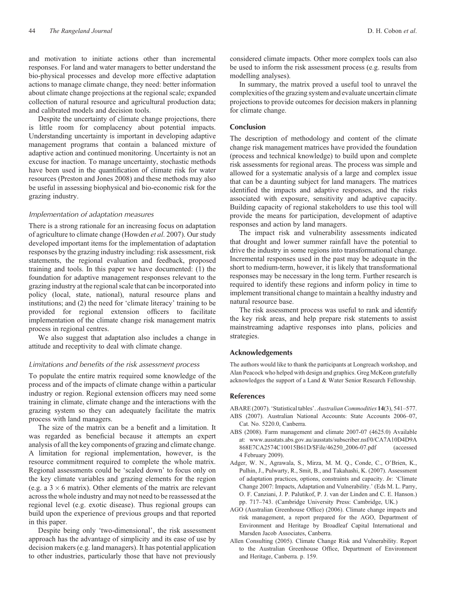<span id="page-13-0"></span>and motivation to initiate actions other than incremental responses. For land and water managers to better understand the bio-physical processes and develop more effective adaptation actions to manage climate change, they need: better information about climate change projections at the regional scale; expanded collection of natural resource and agricultural production data; and calibrated models and decision tools.

Despite the uncertainty of climate change projections, there is little room for complacency about potential impacts. Understanding uncertainty is important in developing adaptive management programs that contain a balanced mixture of adaptive action and continued monitoring. Uncertainty is not an excuse for inaction. To manage uncertainty, stochastic methods have been used in the quantification of climate risk for water resources [\(Preston and Jones 2008\)](#page-15-0) and these methods may also be useful in assessing biophysical and bio-economic risk for the grazing industry.

#### *Implementation of adaptation measures*

There is a strong rationale for an increasing focus on adaptation of agriculture to climate change ([Howden](#page-14-0) *et al*. 2007). Our study developed important items for the implementation of adaptation responses by the grazing industry including: risk assessment, risk statements, the regional evaluation and feedback, proposed training and tools. In this paper we have documented: (1) the foundation for adaptive management responses relevant to the grazing industry at the regional scale that can be incorporated into policy (local, state, national), natural resource plans and institutions; and (2) the need for 'climate literacy' training to be provided for regional extension officers to facilitate implementation of the climate change risk management matrix process in regional centres.

We also suggest that adaptation also includes a change in attitude and receptivity to deal with climate change.

#### *Limitations and benefits of the risk assessment process*

To populate the entire matrix required some knowledge of the process and of the impacts of climate change within a particular industry or region. Regional extension officers may need some training in climate, climate change and the interactions with the grazing system so they can adequately facilitate the matrix process with land managers.

The size of the matrix can be a benefit and a limitation. It was regarded as beneficial because it attempts an expert analysis of all the key components of grazing and climate change. A limitation for regional implementation, however, is the resource commitment required to complete the whole matrix. Regional assessments could be 'scaled down' to focus only on the key climate variables and grazing elements for the region (e.g. a  $3 \times 6$  matrix). Other elements of the matrix are relevant across the whole industry and may not need to be reassessed at the regional level (e.g. exotic disease). Thus regional groups can build upon the experience of previous groups and that reported in this paper.

Despite being only 'two-dimensional', the risk assessment approach has the advantage of simplicity and its ease of use by decision makers (e.g. land managers). It has potential application to other industries, particularly those that have not previously considered climate impacts. Other more complex tools can also be used to inform the risk assessment process (e.g. results from modelling analyses).

In summary, the matrix proved a useful tool to unravel the complexities of the grazing system and evaluate uncertain climate projections to provide outcomes for decision makers in planning for climate change.

## **Conclusion**

The description of methodology and content of the climate change risk management matrices have provided the foundation (process and technical knowledge) to build upon and complete risk assessments for regional areas. The process was simple and allowed for a systematic analysis of a large and complex issue that can be a daunting subject for land managers. The matrices identified the impacts and adaptive responses, and the risks associated with exposure, sensitivity and adaptive capacity. Building capacity of regional stakeholders to use this tool will provide the means for participation, development of adaptive responses and action by land managers.

The impact risk and vulnerability assessments indicated that drought and lower summer rainfall have the potential to drive the industry in some regions into transformational change. Incremental responses used in the past may be adequate in the short to medium-term, however, it is likely that transformational responses may be necessary in the long term. Further research is required to identify these regions and inform policy in time to implement transitional change to maintain a healthy industry and natural resource base.

The risk assessment process was useful to rank and identify the key risk areas, and help prepare risk statements to assist mainstreaming adaptive responses into plans, policies and strategies.

#### **Acknowledgements**

The authors would like to thank the participants at Longreach workshop, and Alan Peacock who helped with design and graphics. Greg McKeon gratefully acknowledges the support of a Land & Water Senior Research Fellowship.

## **References**

ABARE (2007).'Statistical tables'. *Australian Commodities* **14**(3), 541–577. ABS (2007). Australian National Accounts: State Accounts 2006–07,

- Cat. No. 5220.0, Canberra. ABS (2008). Farm management and climate 2007-07 (4625.0) Available at: www.ausstats.abs.gov.au/ausstats/subscriber.nsf/0/CA7A10D4D9A 868E7CA2574C10015B61D/\$File/46250\_2006-07.pdf (accessed
- 4 February 2009). Adger, W. N., Agrawala, S., Mirza, M. M. Q., Conde, C., O'Brien, K., Pulhin, J., Pulwarty, R., Smit, B., and Takahashi, K. (2007). Assessment of adaptation practices, options, constraints and capacity. *In*: 'Climate Change 2007: Impacts, Adaptation and Vulnerability.' (Eds M. L. Parry, O. F. Canziani, J. P. Palutikof, P. J. van der Linden and C. E. Hanson.) pp. 717–743. (Cambridge University Press: Cambridge, UK.)
- AGO (Australian Greenhouse Office) (2006). Climate change impacts and risk management, a report prepared for the AGO, Department of Environment and Heritage by Broadleaf Capital International and Marsden Jacob Associates, Canberra.
- Allen Consulting (2005). Climate Change Risk and Vulnerability. Report to the Australian Greenhouse Office, Department of Environment and Heritage, Canberra. p. 159.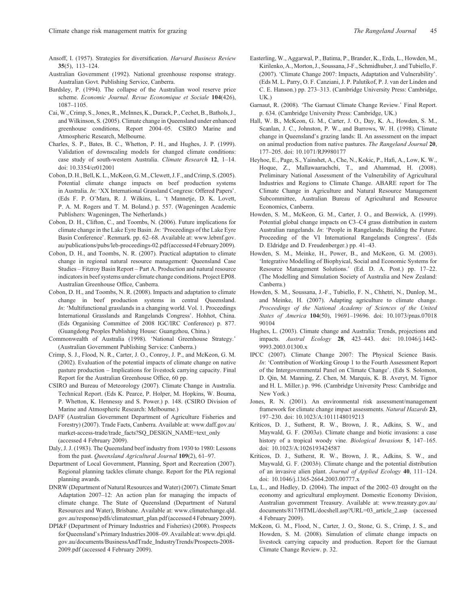- <span id="page-14-0"></span>Ansoff, I. (1957). Strategies for diversification. *Harvard Business Review* **35**(5), 113–124.
- Australian Government (1992). National greenhouse response strategy. Australian Govt. Publishing Service, Canberra.
- Bardsley, P. (1994). The collapse of the Australian wool reserve price scheme. *Economic Journal. Revue Economique et Sociale* **104**(426), 1087–1105.
- Cai,W., Crimp, S., Jones, R., McInnes, K., Durack, P., Cechet, B., Bathols, J., and Wilkinson, S. (2005). Climate change in Queensland under enhanced greenhouse conditions, Report 2004–05. CSIRO Marine and Atmospheric Research, Melbourne.
- Charles, S. P., Bates, B. C., Whetton, P. H., and Hughes, J. P. (1999). Validation of downscaling models for changed climate conditions: case study of south-western Australia. *Climate Research* **12**, 1–14. doi: 10.3354/cr012001
- Cobon, D. H., Bell, K. L., McKeon, G. M., Clewett, J. F., and Crimp, S. (2005). Potential climate change impacts on beef production systems in Australia. *In*: 'XX International Grassland Congress: Offered Papers'. (Eds F. P. O'Mara, R. J. Wilkins, L. 't Mannetje, D. K. Lovett, P. A. M. Rogers and T. M. Boland.) p. 557. (Wageningen Academic Publishers: Wageningen, The Netherlands.)
- Cobon, D. H., Clifton, C., and Toombs, N. (2006). Future implications for climate change in the Lake Eyre Basin. *In*: 'Proceedings of the Lake Eyre Basin Conference'. Renmark. pp. 62–68. Available at: www.lebmf.gov. au/publications/pubs/leb-proceedings-02.pdf (accessed4February2009).
- Cobon, D. H., and Toombs, N. R. (2007). Practical adaptation to climate change in regional natural resource management: Queensland Case Studies – Fitzroy Basin Report – Part A. Production and natural resource indicators in beef systems under climate change conditions. Project EP08. Australian Greenhouse Office, Canberra.
- Cobon, D. H., and Toombs, N. R. (2008). Impacts and adaptation to climate change in beef production systems in central Queensland. *In*: 'Multifunctional grasslands in a changing world. Vol. 1. Proceedings International Grasslands and Rangelands Congress'. Hohhot, China. (Eds Organising Committee of 2008 IGC/IRC Conference) p. 877. (Guangdong Peoples Publishing House: Guangzhou, China.)
- Commonwealth of Australia (1998). 'National Greenhouse Strategy.' (Australian Government Publishing Service: Canberra.)
- Crimp, S. J., Flood, N. R., Carter, J. O., Conroy, J. P., and McKeon, G. M. (2002). Evaluation of the potential impacts of climate change on native pasture production – Implications for livestock carrying capacity. Final Report for the Australian Greenhouse Office, 60 pp.
- CSIRO and Bureau of Meteorology (2007). Climate Change in Australia. Technical Report. (Eds K. Pearce, P. Holper, M. Hopkins, W. Bouma, P. Whetton, K. Hennessy and S. Power.) p. 148. (CSIRO Division of Marine and Atmospheric Research: Melbourne.)
- DAFF (Australian Government Department of Agriculture Fisheries and Forestry) (2007). Trade Facts, Canberra. Available at: www.daff.gov.au/ market-access-trade/trade\_facts?SQ\_DESIGN\_NAME=text\_only (accessed 4 February 2009).
- Daly, J. J. (1983). The Queensland beef industry from 1930 to 1980: Lessons from the past. *Queensland Agricultural Journal* **109**(2), 61–97.
- Department of Local Government, Planning, Sport and Recreation (2007). Regional planning tackles climate change. Report for the PIA regional planning awards.
- DNRW (Department of Natural Resources and Water) (2007). Climate Smart Adaptation 2007–12: An action plan for managing the impacts of climate change. The State of Queensland (Department of Natural Resources and Water), Brisbane. Available at: www.climatechange.qld. gov.au/response/pdfs/climatesmart\_plan.pdf (accessed 4 February 2009).
- DPI&F (Department of Primary Industries and Fisheries) (2008). Prospects for Queensland's Primary Industries 2008–09. Available at: www.dpi.qld. gov.au/documents/BusinessAndTrade\_IndustryTrends/Prospects-2008- 2009.pdf (accessed 4 February 2009).
- Easterling, W., Aggarwal, P., Batima, P., Brander, K., Erda, L., Howden, M., Kirilenko, A., Morton, J., Soussana, J-F., Schmidhuber, J. and Tubiello, F. (2007). 'Climate Change 2007: Impacts, Adaptation and Vulnerability'. (Eds M. L. Parry, O. F. Canziani, J. P. Palutikof, P. J. van der Linden and C. E. Hanson.) pp. 273–313. (Cambridge University Press: Cambridge, UK.)
- Garnaut, R. (2008). 'The Garnaut Climate Change Review.' Final Report. p. 634. (Cambridge University Press: Cambridge, UK.)
- Hall, W. B., McKeon, G. M., Carter, J. O., Day, K. A., Howden, S. M., Scanlan, J. C., Johnston, P. W., and Burrows, W. H. (1998). Climate change in Queensland's grazing lands: II. An assessment on the impact on animal production from native pastures. *The Rangeland Journal* **20**, 177–205. doi: 10.1071/RJ9980177
- Heyhoe, E., Page, S., Yainshet, A., Che, N., Kokic, P., Hafi, A., Low, K. W., Hoque, Z., Mallawaarachchi, T., and Ahammad, H. (2008). Preliminary National Assessment of the Vulnerability of Agricultural Industries and Regions to Climate Change. ABARE report for The Climate Change in Agriculture and Natural Resource Management Subcommittee, Australian Bureau of Agricultural and Resource Economics, Canberra.
- Howden, S. M., McKeon, G. M., Carter, J. O., and Beswick, A. (1999). Potential global change impacts on C3–C4 grass distribution in eastern Australian rangelands. *In*: 'People in Rangelands; Building the Future. Proceeding of the VI International Rangelands Congress'. (Eds D. Eldridge and D. Freudenberger.) pp. 41–43.
- Howden, S. M., Meinke, H., Power, B., and McKeon, G. M. (2003). 'Integrative Modelling of Biophyical, Social and Economic Systems for Resource Management Solutions.' (Ed. D. A. Post.) pp. 17–22. (The Modelling and Simulation Society of Australia and New Zealand: Canberra.)
- Howden, S. M., Soussana, J.-F., Tubiello, F. N., Chhetri, N., Dunlop, M., and Meinke, H. (2007). Adapting agriculture to climate change. *Proceedings of the National Academy of Sciences of the United States of America* **104**(50), 19691–19696. doi: 10.1073/pnas.07018 90104
- Hughes, L. (2003). Climate change and Australia: Trends, projections and impacts. *Austral Ecology* **28**, 423–443. doi: 10.1046/j.1442- 9993.2003.01300.x
- IPCC (2007). Climate Change 2007: The Physical Science Basis. *In*: 'Contribution of Working Group 1 to the Fourth Assessment Report of the Intergovernmental Panel on Climate Change'. (Eds S. Solomon, D. Qin, M. Manning, Z. Chen, M. Marquis, K. B. Averyt, M. Tignor and H. L. Miller.) p. 996. (Cambridge University Press: Cambridge and New York.)
- Jones, R. N. (2001). An environmental risk assessment/management framework for climate change impact assessments. *Natural Hazards* **23**, 197–230. doi: 10.1023/A:1011148019213
- Kriticos, D. J., Sutherst, R. W., Brown, J. R., Adkins, S. W., and Maywald, G. F. (2003*a*). Climate change and biotic invasions: a case history of a tropical woody vine. *Biological Invasions* **5**, 147–165. doi: 10.1023/A:1026193424587
- Kriticos, D. J., Sutherst, R. W., Brown, J. R., Adkins, S. W., and Maywald, G. F. (2003*b*). Climate change and the potential distribution of an invasive alien plant. *Journal of Applied Ecology* **40**, 111–124. doi: 10.1046/j.1365-2664.2003.00777.x
- Lu, L., and Hedley, D. (2004). The impact of the 2002–03 drought on the economy and agricultural employment. Domestic Economy Division, Australian government Treasury. Available at: www.treasury.gov.au/ documents/817/HTML/docshell.asp?URL=03\_article\_2.asp (accessed 4 February 2009).
- McKeon, G. M., Flood, N., Carter, J. O., Stone, G. S., Crimp, J. S., and Howden, S. M. (2008). Simulation of climate change impacts on livestock carrying capacity and production. Report for the Garnaut Climate Change Review. p. 32.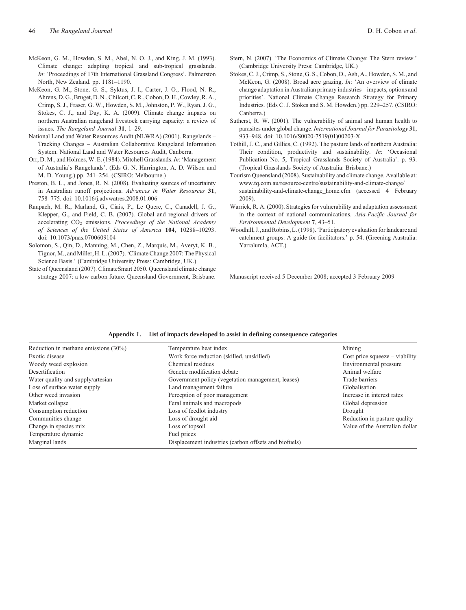- <span id="page-15-0"></span>McKeon, G. M., Howden, S. M., Abel, N. O. J., and King, J. M. (1993). Climate change: adapting tropical and sub-tropical grasslands. *In*: 'Proceedings of 17th International Grassland Congress'. Palmerston North, New Zealand. pp. 1181–1190.
- McKeon, G. M., Stone, G. S., Syktus, J. I., Carter, J. O., Flood, N. R., Ahrens, D. G., Bruget, D. N., Chilcott, C. R., Cobon, D. H., Cowley, R. A., Crimp, S. J., Fraser, G. W., Howden, S. M., Johnston, P. W., Ryan, J. G., Stokes, C. J., and Day, K. A. (2009). Climate change impacts on northern Australian rangeland livestock carrying capacity: a review of issues. *The Rangeland Journal* **31**, 1–29.
- National Land and Water Resources Audit (NLWRA) (2001). Rangelands Tracking Changes – Australian Collaborative Rangeland Information System. National Land and Water Resources Audit, Canberra.
- Orr, D. M., and Holmes, W. E. (1984). Mitchell Grasslands. *In*: 'Management of Australia's Rangelands'. (Eds G. N. Harrington, A. D. Wilson and M. D. Young.) pp. 241–254. (CSIRO: Melbourne.)
- Preston, B. L., and Jones, R. N. (2008). Evaluating sources of uncertainty in Australian runoff projections. *Advances in Water Resources* **31**, 758–775. doi: 10.1016/j.advwatres.2008.01.006
- Raupach, M. R., Marland, G., Ciais, P., Le Quere, C., Canadell, J. G., Klepper, G., and Field, C. B. (2007). Global and regional drivers of accelerating CO<sub>2</sub> emissions. *Proceedings of the National Academy of Sciences of the United States of America* **104**, 10288–10293. doi: 10.1073/pnas.0700609104
- Solomon, S., Qin, D., Manning, M., Chen, Z., Marquis, M., Averyt, K. B., Tignor, M., and Miller, H. L. (2007).'Climate Change 2007: The Physical Science Basis.' (Cambridge University Press: Cambridge, UK.)
- State of Queensland (2007). ClimateSmart 2050. Queensland climate change strategy 2007: a low carbon future. Queensland Government, Brisbane.
- Stern, N. (2007). 'The Economics of Climate Change: The Stern review.' (Cambridge University Press: Cambridge, UK.)
- Stokes, C. J., Crimp, S., Stone, G. S., Cobon, D., Ash, A., Howden, S. M., and McKeon, G. (2008). Broad acre grazing. *In*: 'An overview of climate change adaptation in Australian primary industries – impacts, options and priorities'. National Climate Change Research Strategy for Primary Industries. (Eds C. J. Stokes and S. M. Howden.) pp. 229–257. (CSIRO: Canberra.)
- Sutherst, R. W. (2001). The vulnerability of animal and human health to parasites under global change. *International Journal for Parasitology* **31**, 933–948. doi: 10.1016/S0020-7519(01)00203-X
- Tothill, J. C., and Gillies, C. (1992). The pasture lands of northern Australia: Their condition, productivity and sustainability. *In*: 'Occasional Publication No. 5, Tropical Grasslands Society of Australia'. p. 93. (Tropical Grasslands Society of Australia: Brisbane.)
- Tourism Queensland (2008). Sustainability and climate change. Available at: www.tq.com.au/resource-centre/sustainability-and-climate-change/ sustainability-and-climate-change\_home.cfm (accessed 4 February 2009).
- Warrick, R. A. (2000). Strategies for vulnerability and adaptation assessment in the context of national communications. *Asia-Pacific Journal for Environmental Development* **7**, 43–51.
- Woodhill, J., and Robins, L. (1998).'Participatory evaluation for landcare and catchment groups: A guide for facilitators.' p. 54. (Greening Australia: Yarralumla, ACT.)

Manuscript received 5 December 2008; accepted 3 February 2009

#### **Appendix 1. List of impacts developed to assist in defining consequence categories**

| Reduction in methane emissions $(30\%)$ | Temperature heat index                                | Mining                           |
|-----------------------------------------|-------------------------------------------------------|----------------------------------|
| Exotic disease                          | Work force reduction (skilled, unskilled)             | Cost price squeeze $-$ viability |
| Woody weed explosion                    | Chemical residues                                     | Environmental pressure           |
| Desertification                         | Genetic modification debate                           | Animal welfare                   |
| Water quality and supply/artesian       | Government policy (vegetation management, leases)     | Trade barriers                   |
| Loss of surface water supply            | Land management failure                               | Globalisation                    |
| Other weed invasion                     | Perception of poor management                         | Increase in interest rates       |
| Market collapse                         | Feral animals and macropods                           | Global depression                |
| Consumption reduction                   | Loss of feedlot industry                              | Drought                          |
| Communities change                      | Loss of drought aid                                   | Reduction in pasture quality     |
| Change in species mix                   | Loss of topsoil                                       | Value of the Australian dollar   |
| Temperature dynamic                     | Fuel prices                                           |                                  |
| Marginal lands                          | Displacement industries (carbon offsets and biofuels) |                                  |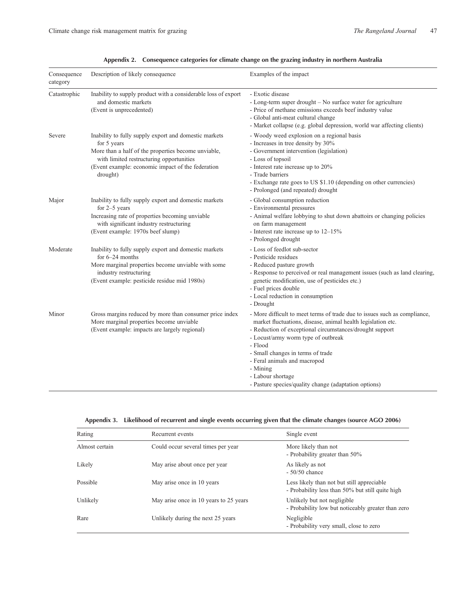| Consequence<br>category | Description of likely consequence                                                                                                                                                                                                        | Examples of the impact                                                                                                                                                                                                                                                                                                                                                                                                 |  |
|-------------------------|------------------------------------------------------------------------------------------------------------------------------------------------------------------------------------------------------------------------------------------|------------------------------------------------------------------------------------------------------------------------------------------------------------------------------------------------------------------------------------------------------------------------------------------------------------------------------------------------------------------------------------------------------------------------|--|
| Catastrophic            | Inability to supply product with a considerable loss of export<br>and domestic markets<br>(Event is unprecedented)                                                                                                                       | - Exotic disease<br>- Long-term super drought - No surface water for agriculture<br>- Price of methane emissions exceeds beef industry value<br>- Global anti-meat cultural change<br>- Market collapse (e.g. global depression, world war affecting clients)                                                                                                                                                          |  |
| Severe                  | Inability to fully supply export and domestic markets<br>for 5 years<br>More than a half of the properties become unviable,<br>with limited restructuring opportunities<br>(Event example: economic impact of the federation<br>drought) | - Woody weed explosion on a regional basis<br>- Increases in tree density by 30%<br>- Government intervention (legislation)<br>- Loss of topsoil<br>- Interest rate increase up to 20%<br>- Trade barriers<br>- Exchange rate goes to US \$1.10 (depending on other currencies)<br>- Prolonged (and repeated) drought                                                                                                  |  |
| Major                   | Inability to fully supply export and domestic markets<br>for $2-5$ years<br>Increasing rate of properties becoming unviable<br>with significant industry restructuring<br>(Event example: 1970s beef slump)                              | - Global consumption reduction<br>- Environmental pressures<br>- Animal welfare lobbying to shut down abattoirs or changing policies<br>on farm management<br>- Interest rate increase up to $12-15%$<br>- Prolonged drought                                                                                                                                                                                           |  |
| Moderate                | Inability to fully supply export and domestic markets<br>for $6-24$ months<br>More marginal properties become unviable with some<br>industry restructuring<br>(Event example: pesticide residue mid 1980s)                               | - Loss of feedlot sub-sector<br>- Pesticide residues<br>- Reduced pasture growth<br>- Response to perceived or real management issues (such as land clearing,<br>genetic modification, use of pesticides etc.)<br>- Fuel prices double<br>- Local reduction in consumption<br>- Drought                                                                                                                                |  |
| Minor                   | Gross margins reduced by more than consumer price index<br>More marginal properties become unviable<br>(Event example: impacts are largely regional)                                                                                     | - More difficult to meet terms of trade due to issues such as compliance,<br>market fluctuations, disease, animal health legislation etc.<br>- Reduction of exceptional circumstances/drought support<br>- Locust/army worm type of outbreak<br>- Flood<br>- Small changes in terms of trade<br>- Feral animals and macropod<br>- Mining<br>- Labour shortage<br>- Pasture species/quality change (adaptation options) |  |

**Appendix 2. Consequence categories for climate change on the grazing industry in northern Australia**

|  | Appendix 3. Likelihood of recurrent and single events occurring given that the climate changes (source AGO 2006) |  |  |  |  |  |
|--|------------------------------------------------------------------------------------------------------------------|--|--|--|--|--|
|--|------------------------------------------------------------------------------------------------------------------|--|--|--|--|--|

| Rating         | Recurrent events                       | Single event                                                                                   |
|----------------|----------------------------------------|------------------------------------------------------------------------------------------------|
| Almost certain | Could occur several times per year     | More likely than not<br>- Probability greater than 50%                                         |
| Likely         | May arise about once per year          | As likely as not<br>$-50/50$ chance                                                            |
| Possible       | May arise once in 10 years             | Less likely than not but still appreciable<br>- Probability less than 50% but still quite high |
| Unlikely       | May arise once in 10 years to 25 years | Unlikely but not negligible<br>- Probability low but noticeably greater than zero              |
| Rare           | Unlikely during the next 25 years      | Negligible<br>- Probability very small, close to zero                                          |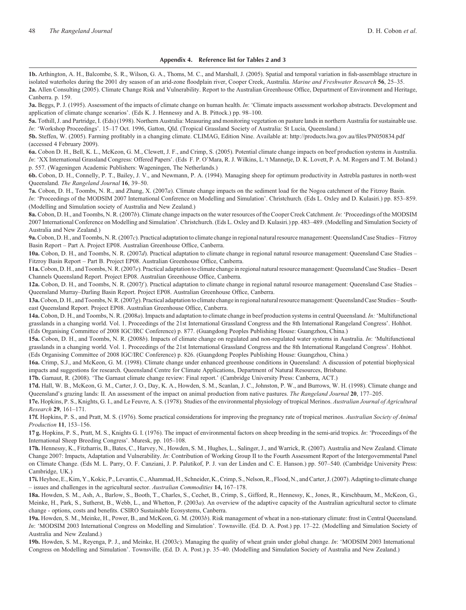#### **Appendix 4. Reference list for Tables 2 and 3**

**1b.** Arthington, A. H., Balcombe, S. R., Wilson, G. A., Thoms, M. C., and Marshall, J. (2005). Spatial and temporal variation in fish-assemblage structure in isolated waterholes during the 2001 dry season of an arid-zone floodplain river, Cooper Creek, Australia. *Marine and Freshwater Research* **56**, 25–35.

**2a.** [Allen Consulting \(2005\).](#page-13-0) Climate Change Risk and Vulnerability. Report to the Australian Greenhouse Office, Department of Environment and Heritage, Canberra. p. 159.

**3a.** Beggs, P. J. (1995). Assessment of the impacts of climate change on human health. *In*: 'Climate impacts assessment workshop abstracts. Development and application of climate change scenarios'. (Eds K. J. Hennessy and A. B. Pittock.) pp. 98–100.

**5a.** Tothill, J. and Partridge, I. (Eds) (1998). Northern Australia: Measuring and monitoring vegetation on pasture lands in northern Australia for sustainable use. *In*: 'Workshop Proceedings'. 15–17 Oct. 1996, Gatton, Qld. (Tropical Grassland Society of Australia: St Lucia, Queensland.)

**5b.** Steffen, W. (2005). Farming profitably in a changing climate. CLIMAG, Edition Nine. Available at: http://products.lwa.gov.au/files/PN050834.pdf (accessed 4 February 2009).

**6a.** Cobon D. H., Bell, K. L., McKeon, G. M., Clewett, J. F., and Crimp, S. (2005). Potential climate change impacts on beef production systems in Australia. *In*: 'XX International Grassland Congress: Offered Papers'. (Eds F. P. O'Mara, R. J. Wilkins, L. 't Mannetje, D. K. Lovett, P. A. M. Rogers and T. M. Boland.) p. 557. (Wageningen Academic Publishers: Wageningen, The Netherlands.)

**6b.** Cobon, D. H., Connelly, P. T., Bailey, J. V., and Newmann, P. A. (1994). Managing sheep for optimum productivity in Astrebla pastures in north-west Queensland. *The Rangeland Journal* **16**, 39–50.

**7a.** Cobon, D. H., Toombs, N. R., and Zhang, X. (2007*a*). Climate change impacts on the sediment load for the Nogoa catchment of the Fitzroy Basin. *In*: 'Proceedings of the MODSIM 2007 International Conference on Modelling and Simulation'. Christchurch. (Eds L. Oxley and D. Kulasiri.) pp. 853–859. (Modelling and Simulation society of Australia and New Zealand.)

**8a.** Cobon, D. H., and Toombs, N. R. (2007*b*). Climate change impacts on the water resources of the Cooper Creek Catchment. *In*: 'Proceedings of the MODSIM 2007 International Conference on Modelling and Simulation'. Christchurch. (Eds L. Oxley and D. Kulasiri.) pp. 483–489. (Modelling and Simulation Society of Australia and New Zealand.)

**9a.**Cobon, D. H., and Toombs, N. R. (2007*c*). Practical adaptation to climate change in regional natural resource management: Queensland Case Studies – Fitzroy Basin Report – Part A. Project EP08. Australian Greenhouse Office, Canberra.

**10a.** Cobon, D. H., and Toombs, N. R. (2007*d*). Practical adaptation to climate change in regional natural resource management: Queensland Case Studies – Fitzroy Basin Report – Part B. Project EP08. Australian Greenhouse Office, Canberra.

**11a.**Cobon, D. H., and Toombs, N. R. (2007*e*). Practical adaptationto climate changein regional natural resource management: QueenslandCase Studies –Desert Channels Queensland Report. Project EP08. Australian Greenhouse Office, Canberra.

**12a.** Cobon, D. H., and Toombs, N. R. (2007*f* ). Practical adaptation to climate change in regional natural resource management: Queensland Case Studies – Queensland Murray–Darling Basin Report. Project EP08. Australian Greenhouse Office, Canberra.

**13a.**Cobon, D. H., and Toombs, N. R. (2007*g*). Practical adaptationto climate changein regional natural resource management: QueenslandCase Studies – Southeast Queensland Report. Project EP08. Australian Greenhouse Office, Canberra.

**14a.** Cobon, D. H., and Toombs, N. R. (2008*a*). Impacts and adaptation to climate change in beef production systems in central Queensland. *In:* 'Multifunctional grasslands in a changing world. Vol. 1. Proceedings of the 21st International Grassland Congress and the 8th International Rangeland Congress'. Hohhot. (Eds Organising Committee of 2008 IGC/IRC Conference) p. 877. (Guangdong Peoples Publishing House: Guangzhou, China.)

**15a.** Cobon, D. H., and Toombs, N. R. (2008*b*). Impacts of climate change on regulated and non-regulated water systems in Australia. *In*: 'Multifunctional grasslands in a changing world. Vol. 1. Proceedings of the 21st International Grassland Congress and the 8th International Rangeland Congress'. Hohhot. (Eds Organising Committee of 2008 IGC/IRC Conference) p. 826. (Guangdong Peoples Publishing House: Guangzhou, China.)

**16a.** Crimp, S.J., and McKeon, G. M. (1998). Climate change under enhanced greenhouse conditions in Queensland: A discussion of potential biophysical impacts and suggestions for research. Queensland Centre for Climate Applications, Department of Natural Resources, Brisbane.

**17b.** Garnaut, R. (2008). 'The Garnaut climate change review: Final report.' (Cambridge University Press: Canberra, ACT.)

**17d.** Hall, W. B., McKeon, G. M., Carter, J. O., Day, K. A., Howden, S. M., Scanlan, J. C., Johnston, P. W., and Burrows, W. H. (1998). Climate change and Queensland's grazing lands: II. An assessment of the impact on animal production from native pastures. *The Rangeland Journal* **20**, 177–205.

**17e.** Hopkins, P. S., Knights, G. I., and Le Feuvre, A. S. (1978). Studies of the environmental physiology of tropical Merinos. *Australian Journal of Agricultural Research* **29**, 161–171.

**17f.** Hopkins, P. S., and Pratt, M. S. (1976). Some practical considerations for improving the pregnancy rate of tropical merinos. *Australian Society of Animal Production* **11**, 153–156.

**17 g.** Hopkins, P. S., Pratt, M. S., Knights G. I. (1976). The impact of environmental factors on sheep breeding in the semi-arid tropics. *In*: 'Proceedings of the International Sheep Breeding Congress'. Muresk, pp. 105–108.

**17h.** Hennessy, K., Fitzharris, B., Bates, C., Harvey, N., Howden, S. M., Hughes, L., Salinger, J., and Warrick, R. (2007). Australia and New Zealand. Climate Change 2007: Impacts, Adaptation and Vulnerability. *In*: Contribution of Working Group II to the Fourth Assessment Report of the Intergovernmental Panel on Climate Change. (Eds M. L. Parry, O. F. Canziani, J. P. Palutikof, P. J. van der Linden and C. E. Hanson.) pp. 507–540. (Cambridge University Press: Cambridge, UK.)

**17i.** Heyhoe, E., Kim, Y., Kokic, P., Levantis, C., Ahammad, H., Schneider, K., Crimp, S., Nelson, R., Flood, N., and Carter, J. (2007). Adapting to climate change – issues and challenges in the agricultural sector. *Australian Commodities* **14,** 167–178.

**18a.** Howden, S. M., Ash, A., Barlow, S., Booth, T., Charles, S., Cechet, B., Crimp, S., Gifford, R., Hennessy, K., Jones, R., Kirschbaum, M., McKeon, G., Meinke, H., Park, S., Sutherst, B., Webb, L., and Whetton, P. (2003*a*). An overview of the adaptive capacity of the Australian agricultural sector to climate change - options, costs and benefits. CSIRO Sustainable Ecosystems, Canberra.

**19a.** Howden, S. M., Meinke, H., Power, B., and McKeon, G. M. (2003*b*). Risk management of wheat in a non-stationary climate: frost in Central Queensland. *In*: 'MODSIM 2003 International Congress on Modelling and Simulation'. Townsville. (Ed. D. A. Post.) pp. 17-22. (Modelling and Simulation Society of Australia and New Zealand.)

**19b.** Howden, S. M., Reyenga, P. J., and Meinke, H. (2003*c*). Managing the quality of wheat grain under global change. *In*: 'MODSIM 2003 International Congress on Modelling and Simulation'. Townsville. (Ed. D. A. Post.) p. 35–40. (Modelling and Simulation Society of Australia and New Zealand.)